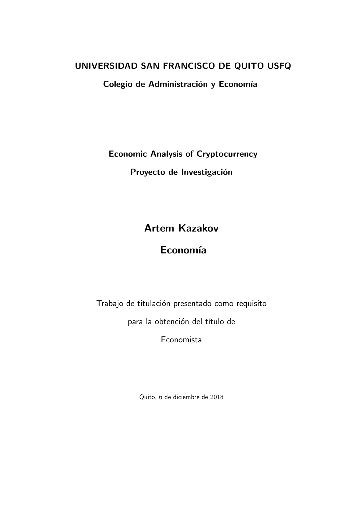## UNIVERSIDAD SAN FRANCISCO DE QUITO USFQ

Colegio de Administración y Economía

Economic Analysis of Cryptocurrency

Proyecto de Investigación

# Artem Kazakov

# Economía

Trabajo de titulación presentado como requisito

para la obtención del título de

Economista

Quito, 6 de diciembre de 2018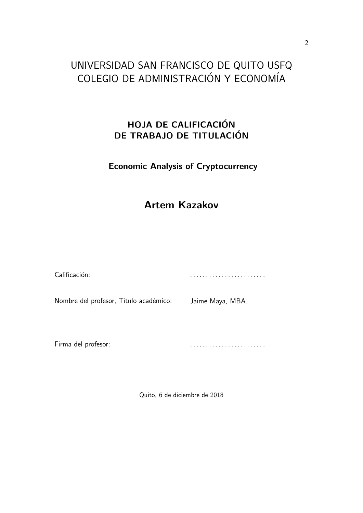# UNIVERSIDAD SAN FRANCISCO DE QUITO USFQ COLEGIO DE ADMINISTRACIÓN Y ECONOMÍA

# HOJA DE CALIFICACIÓN DE TRABAJO DE TITULACIÓN

## Economic Analysis of Cryptocurrency

# Artem Kazakov

| Calificación:                          |                  |
|----------------------------------------|------------------|
| Nombre del profesor, Título académico: | Jaime Maya, MBA. |
|                                        |                  |

Firma del profesor:

. . . . . . . . . . . . . . . . . . . . . . . .

Quito, 6 de diciembre de 2018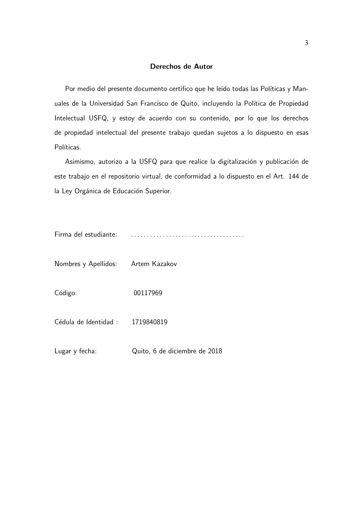### Derechos de Autor

Por medio del presente documento certifico que he leído todas las Políticas y Manuales de la Universidad San Francisco de Quito, incluyendo la Política de Propiedad Intelectual USFQ, y estoy de acuerdo con su contenido, por lo que los derechos de propiedad intelectual del presente trabajo quedan sujetos a lo dispuesto en esas Políticas.

Asimismo, autorizo a la USFQ para que realice la digitalización y publicación de este trabajo en el repositorio virtual, de conformidad a lo dispuesto en el Art. 144 de la Ley Orgánica de Educación Superior.

| Firma del estudiante: |  |
|-----------------------|--|
|-----------------------|--|

| Nombres y Apellidos:             | Artem Kazakov                 |
|----------------------------------|-------------------------------|
| Código:                          | 00117969                      |
| Cédula de Identidad : 1719840819 |                               |
| Lugar y fecha:                   | Quito, 6 de diciembre de 2018 |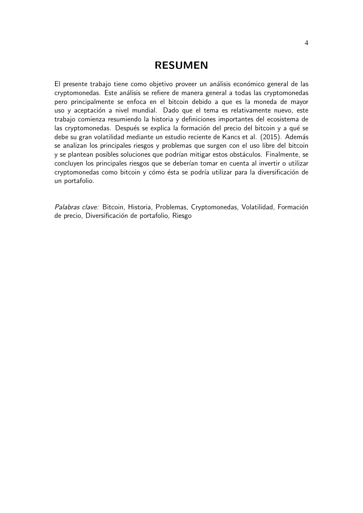### RESUMEN

El presente trabajo tiene como objetivo proveer un análisis económico general de las cryptomonedas. Este análisis se refiere de manera general a todas las cryptomonedas pero principalmente se enfoca en el bitcoin debido a que es la moneda de mayor uso y aceptación a nivel mundial. Dado que el tema es relativamente nuevo, este trabajo comienza resumiendo la historia y definiciones importantes del ecosistema de las cryptomonedas. Después se explica la formación del precio del bitcoin y a qué se debe su gran volatilidad mediante un estudio reciente de Kancs et al. (2015). Además se analizan los principales riesgos y problemas que surgen con el uso libre del bitcoin y se plantean posibles soluciones que podrían mitigar estos obstáculos. Finalmente, se concluyen los principales riesgos que se deberían tomar en cuenta al invertir o utilizar cryptomonedas como bitcoin y cómo ésta se podría utilizar para la diversificación de un portafolio.

Palabras clave: Bitcoin, Historia, Problemas, Cryptomonedas, Volatilidad, Formación de precio, Diversificación de portafolio, Riesgo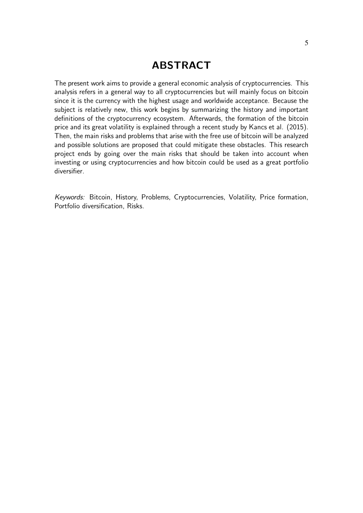# ABSTRACT

The present work aims to provide a general economic analysis of cryptocurrencies. This analysis refers in a general way to all cryptocurrencies but will mainly focus on bitcoin since it is the currency with the highest usage and worldwide acceptance. Because the subject is relatively new, this work begins by summarizing the history and important definitions of the cryptocurrency ecosystem. Afterwards, the formation of the bitcoin price and its great volatility is explained through a recent study by Kancs et al. (2015). Then, the main risks and problems that arise with the free use of bitcoin will be analyzed and possible solutions are proposed that could mitigate these obstacles. This research project ends by going over the main risks that should be taken into account when investing or using cryptocurrencies and how bitcoin could be used as a great portfolio diversifier.

Keywords: Bitcoin, History, Problems, Cryptocurrencies, Volatility, Price formation, Portfolio diversification, Risks.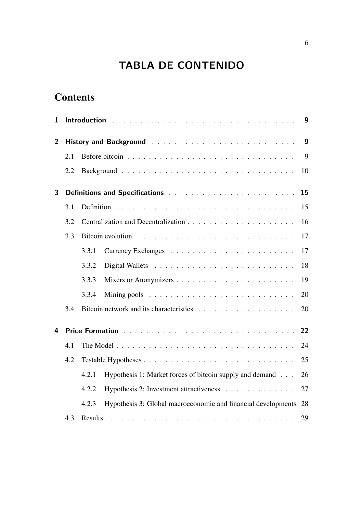# TABLA DE CONTENIDO

# **Contents**

| 1              |     |       | Introduction International Property of the contract of the contract of the contract of the contract of the contract of the contract of the contract of the contract of the contract of the contract of the contract of the con | $\boldsymbol{9}$ |
|----------------|-----|-------|--------------------------------------------------------------------------------------------------------------------------------------------------------------------------------------------------------------------------------|------------------|
| $\overline{2}$ |     |       |                                                                                                                                                                                                                                | 9                |
|                | 2.1 |       |                                                                                                                                                                                                                                | 9                |
|                | 2.2 |       |                                                                                                                                                                                                                                | 10               |
| 3              |     |       |                                                                                                                                                                                                                                | 15               |
|                | 3.1 |       |                                                                                                                                                                                                                                | 15               |
|                | 3.2 |       |                                                                                                                                                                                                                                | 16               |
|                | 3.3 |       |                                                                                                                                                                                                                                | 17               |
|                |     | 3.3.1 |                                                                                                                                                                                                                                | 17               |
|                |     | 3.3.2 |                                                                                                                                                                                                                                | 18               |
|                |     | 3.3.3 |                                                                                                                                                                                                                                | 19               |
|                |     | 3.3.4 |                                                                                                                                                                                                                                | 20               |
|                | 3.4 |       |                                                                                                                                                                                                                                | 20               |
| 4              |     |       | Price Formation with a substitution of the substitution of the contract of the contract of the contract of the                                                                                                                 | 22               |
|                | 4.1 |       |                                                                                                                                                                                                                                | 24               |
|                | 4.2 |       |                                                                                                                                                                                                                                | 25               |
|                |     | 4.2.1 | Hypothesis 1: Market forces of bitcoin supply and demand                                                                                                                                                                       | 26               |
|                |     | 4.2.2 | Hypothesis 2: Investment attractiveness                                                                                                                                                                                        | 27               |
|                |     | 4.2.3 | Hypothesis 3: Global macroeconomic and financial developments                                                                                                                                                                  | -28              |
|                | 4.3 |       |                                                                                                                                                                                                                                | 29               |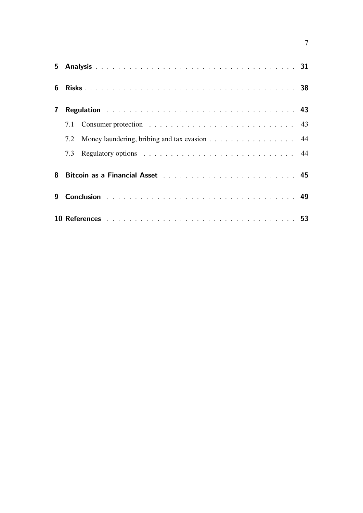| 6            |     |                                                                                                                                                                                                                                |  |
|--------------|-----|--------------------------------------------------------------------------------------------------------------------------------------------------------------------------------------------------------------------------------|--|
| $\mathbf{7}$ |     | Regulation <b>Regulation Regulation Regulation Regulation Regulation Regulation Regulation Regulation Regulation Regulation Regulation Regulation</b>                                                                          |  |
|              |     |                                                                                                                                                                                                                                |  |
|              |     | 7.2 Money laundering, bribing and tax evasion 44                                                                                                                                                                               |  |
|              | 7.3 |                                                                                                                                                                                                                                |  |
| 8            |     | Bitcoin as a Financial Asset (and a subset of the subset of the subset of the subset of the subset of the subset of the subset of the subset of the subset of the subset of the subset of the subset of the subset of the subs |  |
| 9            |     |                                                                                                                                                                                                                                |  |
|              |     |                                                                                                                                                                                                                                |  |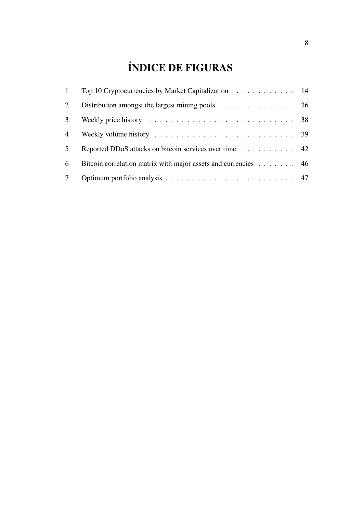# ÍNDICE DE FIGURAS

| $\mathbf{1}$    | Top 10 Cryptocurrencies by Market Capitalization 14                                               |  |
|-----------------|---------------------------------------------------------------------------------------------------|--|
| 2               | Distribution amongst the largest mining pools 36                                                  |  |
| 3               | Weekly price history $\dots \dots \dots \dots \dots \dots \dots \dots \dots \dots \dots \dots$ 38 |  |
| $\overline{4}$  |                                                                                                   |  |
| 5 <sup>5</sup>  | Reported DDoS attacks on bitcoin services over time 42                                            |  |
| 6               | Bitcoin correlation matrix with major assets and currencies 46                                    |  |
| $7\phantom{.0}$ |                                                                                                   |  |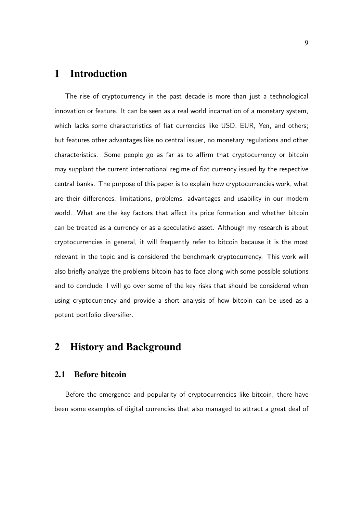# 1 Introduction

The rise of cryptocurrency in the past decade is more than just a technological innovation or feature. It can be seen as a real world incarnation of a monetary system, which lacks some characteristics of fiat currencies like USD, EUR, Yen, and others; but features other advantages like no central issuer, no monetary regulations and other characteristics. Some people go as far as to affirm that cryptocurrency or bitcoin may supplant the current international regime of fiat currency issued by the respective central banks. The purpose of this paper is to explain how cryptocurrencies work, what are their differences, limitations, problems, advantages and usability in our modern world. What are the key factors that affect its price formation and whether bitcoin can be treated as a currency or as a speculative asset. Although my research is about cryptocurrencies in general, it will frequently refer to bitcoin because it is the most relevant in the topic and is considered the benchmark cryptocurrency. This work will also briefly analyze the problems bitcoin has to face along with some possible solutions and to conclude, I will go over some of the key risks that should be considered when using cryptocurrency and provide a short analysis of how bitcoin can be used as a potent portfolio diversifier.

## 2 History and Background

### 2.1 Before bitcoin

Before the emergence and popularity of cryptocurrencies like bitcoin, there have been some examples of digital currencies that also managed to attract a great deal of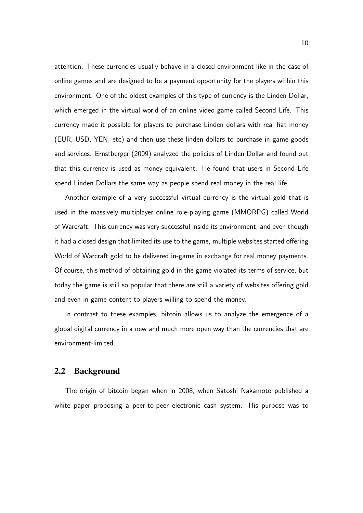attention. These currencies usually behave in a closed environment like in the case of online games and are designed to be a payment opportunity for the players within this environment. One of the oldest examples of this type of currency is the Linden Dollar, which emerged in the virtual world of an online video game called Second Life. This currency made it possible for players to purchase Linden dollars with real fiat money (EUR, USD, YEN, etc) and then use these linden dollars to purchase in game goods and services. Ernstberger (2009) analyzed the policies of Linden Dollar and found out that this currency is used as money equivalent. He found that users in Second Life spend Linden Dollars the same way as people spend real money in the real life.

Another example of a very successful virtual currency is the virtual gold that is used in the massively multiplayer online role-playing game (MMORPG) called World of Warcraft. This currency was very successful inside its environment, and even though it had a closed design that limited its use to the game, multiple websites started offering World of Warcraft gold to be delivered in-game in exchange for real money payments. Of course, this method of obtaining gold in the game violated its terms of service, but today the game is still so popular that there are still a variety of websites offering gold and even in game content to players willing to spend the money.

In contrast to these examples, bitcoin allows us to analyze the emergence of a global digital currency in a new and much more open way than the currencies that are environment-limited.

### 2.2 Background

The origin of bitcoin began when in 2008, when Satoshi Nakamoto published a white paper proposing a peer-to-peer electronic cash system. His purpose was to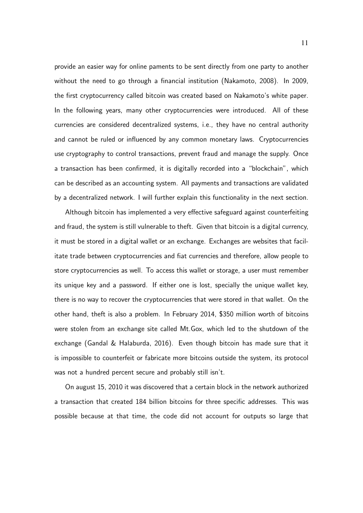provide an easier way for online paments to be sent directly from one party to another without the need to go through a financial institution (Nakamoto, 2008). In 2009, the first cryptocurrency called bitcoin was created based on Nakamoto's white paper. In the following years, many other cryptocurrencies were introduced. All of these currencies are considered decentralized systems, i.e., they have no central authority and cannot be ruled or influenced by any common monetary laws. Cryptocurrencies use cryptography to control transactions, prevent fraud and manage the supply. Once a transaction has been confirmed, it is digitally recorded into a "blockchain", which can be described as an accounting system. All payments and transactions are validated by a decentralized network. I will further explain this functionality in the next section.

Although bitcoin has implemented a very effective safeguard against counterfeiting and fraud, the system is still vulnerable to theft. Given that bitcoin is a digital currency, it must be stored in a digital wallet or an exchange. Exchanges are websites that facilitate trade between cryptocurrencies and fiat currencies and therefore, allow people to store cryptocurrencies as well. To access this wallet or storage, a user must remember its unique key and a password. If either one is lost, specially the unique wallet key, there is no way to recover the cryptocurrencies that were stored in that wallet. On the other hand, theft is also a problem. In February 2014, \$350 million worth of bitcoins were stolen from an exchange site called Mt.Gox, which led to the shutdown of the exchange (Gandal & Halaburda, 2016). Even though bitcoin has made sure that it is impossible to counterfeit or fabricate more bitcoins outside the system, its protocol was not a hundred percent secure and probably still isn't.

On august 15, 2010 it was discovered that a certain block in the network authorized a transaction that created 184 billion bitcoins for three specific addresses. This was possible because at that time, the code did not account for outputs so large that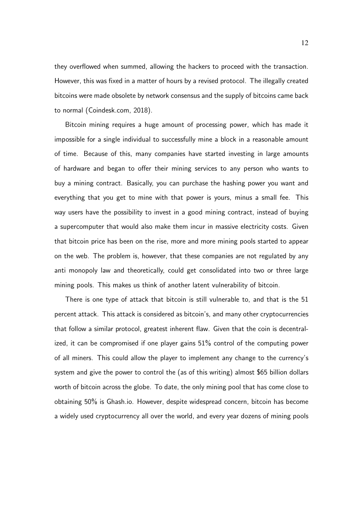they overflowed when summed, allowing the hackers to proceed with the transaction. However, this was fixed in a matter of hours by a revised protocol. The illegally created bitcoins were made obsolete by network consensus and the supply of bitcoins came back to normal (Coindesk.com, 2018).

Bitcoin mining requires a huge amount of processing power, which has made it impossible for a single individual to successfully mine a block in a reasonable amount of time. Because of this, many companies have started investing in large amounts of hardware and began to offer their mining services to any person who wants to buy a mining contract. Basically, you can purchase the hashing power you want and everything that you get to mine with that power is yours, minus a small fee. This way users have the possibility to invest in a good mining contract, instead of buying a supercomputer that would also make them incur in massive electricity costs. Given that bitcoin price has been on the rise, more and more mining pools started to appear on the web. The problem is, however, that these companies are not regulated by any anti monopoly law and theoretically, could get consolidated into two or three large mining pools. This makes us think of another latent vulnerability of bitcoin.

There is one type of attack that bitcoin is still vulnerable to, and that is the 51 percent attack. This attack is considered as bitcoin's, and many other cryptocurrencies that follow a similar protocol, greatest inherent flaw. Given that the coin is decentralized, it can be compromised if one player gains 51% control of the computing power of all miners. This could allow the player to implement any change to the currency's system and give the power to control the (as of this writing) almost \$65 billion dollars worth of bitcoin across the globe. To date, the only mining pool that has come close to obtaining 50% is Ghash.io. However, despite widespread concern, bitcoin has become a widely used cryptocurrency all over the world, and every year dozens of mining pools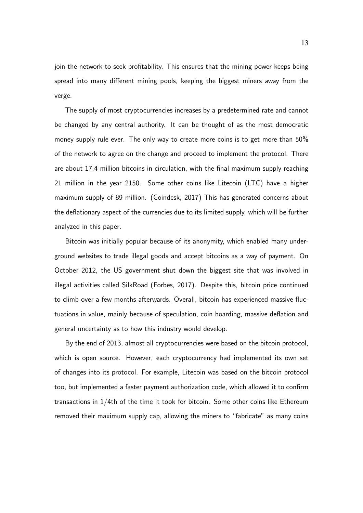join the network to seek profitability. This ensures that the mining power keeps being spread into many different mining pools, keeping the biggest miners away from the verge.

The supply of most cryptocurrencies increases by a predetermined rate and cannot be changed by any central authority. It can be thought of as the most democratic money supply rule ever. The only way to create more coins is to get more than 50% of the network to agree on the change and proceed to implement the protocol. There are about 17.4 million bitcoins in circulation, with the final maximum supply reaching 21 million in the year 2150. Some other coins like Litecoin (LTC) have a higher maximum supply of 89 million. (Coindesk, 2017) This has generated concerns about the deflationary aspect of the currencies due to its limited supply, which will be further analyzed in this paper.

Bitcoin was initially popular because of its anonymity, which enabled many underground websites to trade illegal goods and accept bitcoins as a way of payment. On October 2012, the US government shut down the biggest site that was involved in illegal activities called SilkRoad (Forbes, 2017). Despite this, bitcoin price continued to climb over a few months afterwards. Overall, bitcoin has experienced massive fluctuations in value, mainly because of speculation, coin hoarding, massive deflation and general uncertainty as to how this industry would develop.

By the end of 2013, almost all cryptocurrencies were based on the bitcoin protocol, which is open source. However, each cryptocurrency had implemented its own set of changes into its protocol. For example, Litecoin was based on the bitcoin protocol too, but implemented a faster payment authorization code, which allowed it to confirm transactions in 1/4th of the time it took for bitcoin. Some other coins like Ethereum removed their maximum supply cap, allowing the miners to "fabricate" as many coins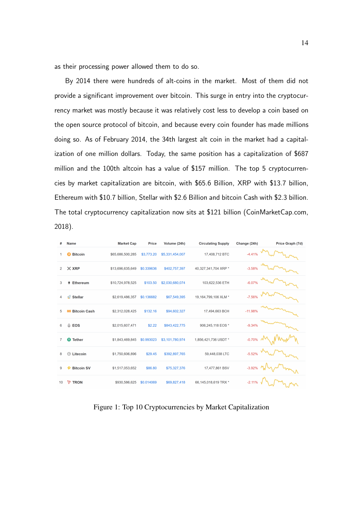as their processing power allowed them to do so.

By 2014 there were hundreds of alt-coins in the market. Most of them did not provide a significant improvement over bitcoin. This surge in entry into the cryptocurrency market was mostly because it was relatively cost less to develop a coin based on the open source protocol of bitcoin, and because every coin founder has made millions doing so. As of February 2014, the 34th largest alt coin in the market had a capitalization of one million dollars. Today, the same position has a capitalization of \$687 million and the 100th altcoin has a value of \$157 million. The top 5 cryptocurrencies by market capitalization are bitcoin, with \$65.6 Billion, XRP with \$13.7 billion, Ethereum with \$10.7 billion, Stellar with \$2.6 Billion and bitcoin Cash with \$2.3 billion. The total cryptocurrency capitalization now sits at \$121 billion (CoinMarketCap.com, 2018).

| #              | <b>Name</b>                            | <b>Market Cap</b> | Price      | Volume (24h)    | <b>Circulating Supply</b> | Change (24h)  | Price Graph (7d) |
|----------------|----------------------------------------|-------------------|------------|-----------------|---------------------------|---------------|------------------|
| 1              | <b>Bitcoin</b><br>B                    | \$65,686,500,285  | \$3,773.20 | \$5,331,454,007 | 17,408,712 BTC            | $-4.41%$      |                  |
| $\overline{2}$ | $\times$ XRP                           | \$13,696,635,649  | \$0.339636 | \$402,757,397   | 40,327,341,704 XRP *      | $-3.58%$      |                  |
| 3              | <b>Ethereum</b><br>٠                   | \$10,724,978,525  | \$103.50   | \$2,030,680,074 | 103,622,536 ETH           | $-6.07%$      |                  |
| 4              | $\mathbf{r}^{\odot}$<br><b>Stellar</b> | \$2,619,486,357   | \$0.136682 | \$67,549,395    | 19,164,799,106 XLM *      | $-7.56%$      |                  |
| 5              | <b>Bitcoin Cash</b><br>Ю               | \$2,312,028,425   | \$132.16   | \$94,602,327    | 17,494,663 BCH            | $-11.98%$     |                  |
| 6              | ۵<br><b>EOS</b>                        | \$2,015,607,471   | \$2.22     | \$843,422,775   | 906,245,118 EOS*          | $-9.34%$      |                  |
| 7              | 0<br><b>Tether</b>                     | \$1,843,469,845   | \$0.993023 | \$3,101,780,974 | 1,856,421,736 USDT *      | $-0.70\%$ $N$ |                  |
| 8              | Litecoin<br>o                          | \$1,750,606,896   | \$29.45    | \$392,897,765   | 59,448,038 LTC            | $-5.52%$      |                  |
| 9              | <b>Bitcoin SV</b>                      | \$1,517,053,652   | \$86.80    | \$75,327,376    | 17,477,861 BSV            | $-3.92%$      |                  |
| 10             | D<br><b>TRON</b>                       | \$930,586,625     | \$0.014069 | \$69,827,418    | 66,145,018,619 TRX *      | $-2.11%$      |                  |

Figure 1: Top 10 Cryptocurrencies by Market Capitalization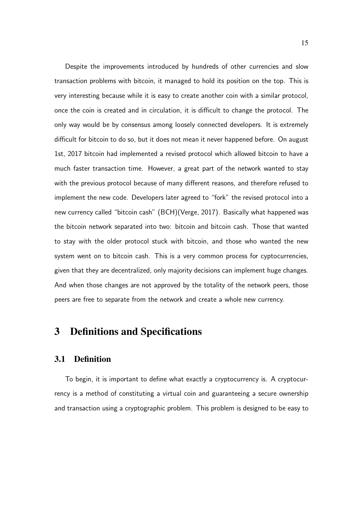Despite the improvements introduced by hundreds of other currencies and slow transaction problems with bitcoin, it managed to hold its position on the top. This is very interesting because while it is easy to create another coin with a similar protocol, once the coin is created and in circulation, it is difficult to change the protocol. The only way would be by consensus among loosely connected developers. It is extremely difficult for bitcoin to do so, but it does not mean it never happened before. On august 1st, 2017 bitcoin had implemented a revised protocol which allowed bitcoin to have a much faster transaction time. However, a great part of the network wanted to stay with the previous protocol because of many different reasons, and therefore refused to implement the new code. Developers later agreed to "fork" the revised protocol into a new currency called "bitcoin cash" (BCH)(Verge, 2017). Basically what happened was the bitcoin network separated into two: bitcoin and bitcoin cash. Those that wanted to stay with the older protocol stuck with bitcoin, and those who wanted the new system went on to bitcoin cash. This is a very common process for cyptocurrencies, given that they are decentralized, only majority decisions can implement huge changes. And when those changes are not approved by the totality of the network peers, those peers are free to separate from the network and create a whole new currency.

## 3 Definitions and Specifications

### 3.1 Definition

To begin, it is important to define what exactly a cryptocurrency is. A cryptocurrency is a method of constituting a virtual coin and guaranteeing a secure ownership and transaction using a cryptographic problem. This problem is designed to be easy to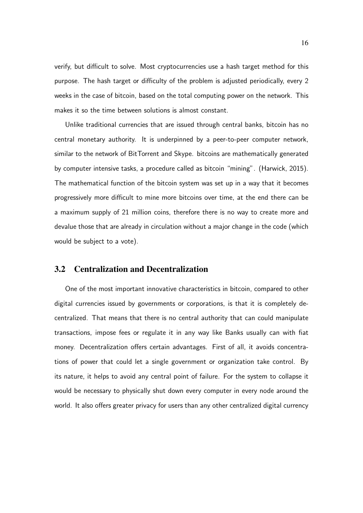verify, but difficult to solve. Most cryptocurrencies use a hash target method for this purpose. The hash target or difficulty of the problem is adjusted periodically, every 2 weeks in the case of bitcoin, based on the total computing power on the network. This makes it so the time between solutions is almost constant.

Unlike traditional currencies that are issued through central banks, bitcoin has no central monetary authority. It is underpinned by a peer-to-peer computer network, similar to the network of BitTorrent and Skype. bitcoins are mathematically generated by computer intensive tasks, a procedure called as bitcoin "mining". (Harwick, 2015). The mathematical function of the bitcoin system was set up in a way that it becomes progressively more difficult to mine more bitcoins over time, at the end there can be a maximum supply of 21 million coins, therefore there is no way to create more and devalue those that are already in circulation without a major change in the code (which would be subject to a vote).

### 3.2 Centralization and Decentralization

One of the most important innovative characteristics in bitcoin, compared to other digital currencies issued by governments or corporations, is that it is completely decentralized. That means that there is no central authority that can could manipulate transactions, impose fees or regulate it in any way like Banks usually can with fiat money. Decentralization offers certain advantages. First of all, it avoids concentrations of power that could let a single government or organization take control. By its nature, it helps to avoid any central point of failure. For the system to collapse it would be necessary to physically shut down every computer in every node around the world. It also offers greater privacy for users than any other centralized digital currency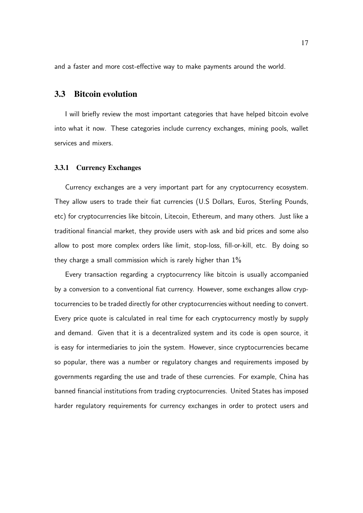and a faster and more cost-effective way to make payments around the world.

### 3.3 Bitcoin evolution

I will briefly review the most important categories that have helped bitcoin evolve into what it now. These categories include currency exchanges, mining pools, wallet services and mixers.

#### 3.3.1 Currency Exchanges

Currency exchanges are a very important part for any cryptocurrency ecosystem. They allow users to trade their fiat currencies (U.S Dollars, Euros, Sterling Pounds, etc) for cryptocurrencies like bitcoin, Litecoin, Ethereum, and many others. Just like a traditional financial market, they provide users with ask and bid prices and some also allow to post more complex orders like limit, stop-loss, fill-or-kill, etc. By doing so they charge a small commission which is rarely higher than 1%

Every transaction regarding a cryptocurrency like bitcoin is usually accompanied by a conversion to a conventional fiat currency. However, some exchanges allow cryptocurrencies to be traded directly for other cryptocurrencies without needing to convert. Every price quote is calculated in real time for each cryptocurrency mostly by supply and demand. Given that it is a decentralized system and its code is open source, it is easy for intermediaries to join the system. However, since cryptocurrencies became so popular, there was a number or regulatory changes and requirements imposed by governments regarding the use and trade of these currencies. For example, China has banned financial institutions from trading cryptocurrencies. United States has imposed harder regulatory requirements for currency exchanges in order to protect users and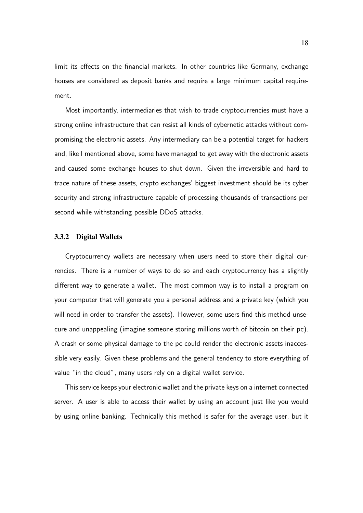limit its effects on the financial markets. In other countries like Germany, exchange houses are considered as deposit banks and require a large minimum capital requirement.

Most importantly, intermediaries that wish to trade cryptocurrencies must have a strong online infrastructure that can resist all kinds of cybernetic attacks without compromising the electronic assets. Any intermediary can be a potential target for hackers and, like I mentioned above, some have managed to get away with the electronic assets and caused some exchange houses to shut down. Given the irreversible and hard to trace nature of these assets, crypto exchanges' biggest investment should be its cyber security and strong infrastructure capable of processing thousands of transactions per second while withstanding possible DDoS attacks.

#### 3.3.2 Digital Wallets

Cryptocurrency wallets are necessary when users need to store their digital currencies. There is a number of ways to do so and each cryptocurrency has a slightly different way to generate a wallet. The most common way is to install a program on your computer that will generate you a personal address and a private key (which you will need in order to transfer the assets). However, some users find this method unsecure and unappealing (imagine someone storing millions worth of bitcoin on their pc). A crash or some physical damage to the pc could render the electronic assets inaccessible very easily. Given these problems and the general tendency to store everything of value "in the cloud", many users rely on a digital wallet service.

This service keeps your electronic wallet and the private keys on a internet connected server. A user is able to access their wallet by using an account just like you would by using online banking. Technically this method is safer for the average user, but it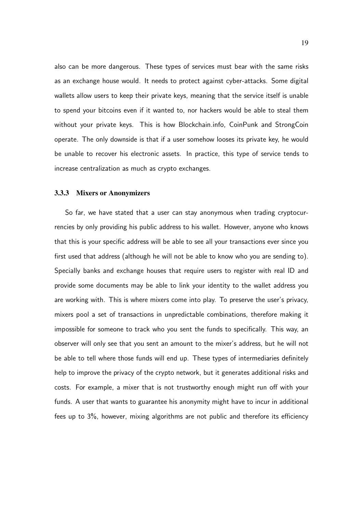also can be more dangerous. These types of services must bear with the same risks as an exchange house would. It needs to protect against cyber-attacks. Some digital wallets allow users to keep their private keys, meaning that the service itself is unable to spend your bitcoins even if it wanted to, nor hackers would be able to steal them without your private keys. This is how Blockchain.info, CoinPunk and StrongCoin operate. The only downside is that if a user somehow looses its private key, he would be unable to recover his electronic assets. In practice, this type of service tends to increase centralization as much as crypto exchanges.

#### 3.3.3 Mixers or Anonymizers

So far, we have stated that a user can stay anonymous when trading cryptocurrencies by only providing his public address to his wallet. However, anyone who knows that this is your specific address will be able to see all your transactions ever since you first used that address (although he will not be able to know who you are sending to). Specially banks and exchange houses that require users to register with real ID and provide some documents may be able to link your identity to the wallet address you are working with. This is where mixers come into play. To preserve the user's privacy, mixers pool a set of transactions in unpredictable combinations, therefore making it impossible for someone to track who you sent the funds to specifically. This way, an observer will only see that you sent an amount to the mixer's address, but he will not be able to tell where those funds will end up. These types of intermediaries definitely help to improve the privacy of the crypto network, but it generates additional risks and costs. For example, a mixer that is not trustworthy enough might run off with your funds. A user that wants to guarantee his anonymity might have to incur in additional fees up to 3%, however, mixing algorithms are not public and therefore its efficiency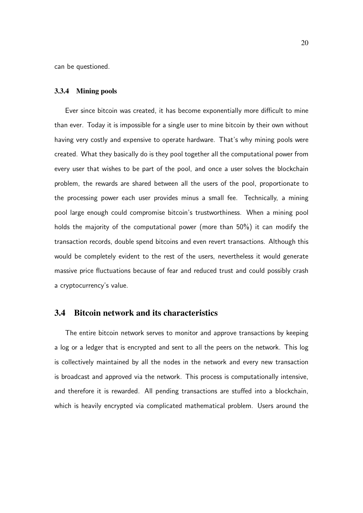can be questioned.

#### 3.3.4 Mining pools

Ever since bitcoin was created, it has become exponentially more difficult to mine than ever. Today it is impossible for a single user to mine bitcoin by their own without having very costly and expensive to operate hardware. That's why mining pools were created. What they basically do is they pool together all the computational power from every user that wishes to be part of the pool, and once a user solves the blockchain problem, the rewards are shared between all the users of the pool, proportionate to the processing power each user provides minus a small fee. Technically, a mining pool large enough could compromise bitcoin's trustworthiness. When a mining pool holds the majority of the computational power (more than 50%) it can modify the transaction records, double spend bitcoins and even revert transactions. Although this would be completely evident to the rest of the users, nevertheless it would generate massive price fluctuations because of fear and reduced trust and could possibly crash a cryptocurrency's value.

### 3.4 Bitcoin network and its characteristics

The entire bitcoin network serves to monitor and approve transactions by keeping a log or a ledger that is encrypted and sent to all the peers on the network. This log is collectively maintained by all the nodes in the network and every new transaction is broadcast and approved via the network. This process is computationally intensive, and therefore it is rewarded. All pending transactions are stuffed into a blockchain, which is heavily encrypted via complicated mathematical problem. Users around the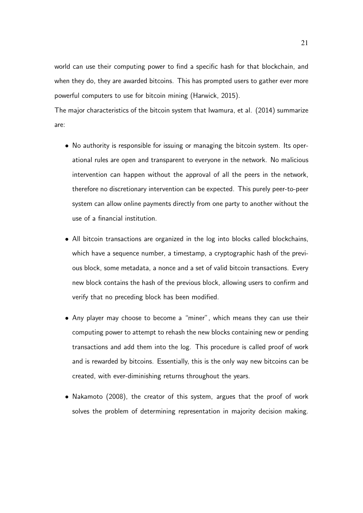world can use their computing power to find a specific hash for that blockchain, and when they do, they are awarded bitcoins. This has prompted users to gather ever more powerful computers to use for bitcoin mining (Harwick, 2015).

The major characteristics of the bitcoin system that Iwamura, et al. (2014) summarize are:

- No authority is responsible for issuing or managing the bitcoin system. Its operational rules are open and transparent to everyone in the network. No malicious intervention can happen without the approval of all the peers in the network, therefore no discretionary intervention can be expected. This purely peer-to-peer system can allow online payments directly from one party to another without the use of a financial institution.
- All bitcoin transactions are organized in the log into blocks called blockchains, which have a sequence number, a timestamp, a cryptographic hash of the previous block, some metadata, a nonce and a set of valid bitcoin transactions. Every new block contains the hash of the previous block, allowing users to confirm and verify that no preceding block has been modified.
- Any player may choose to become a "miner", which means they can use their computing power to attempt to rehash the new blocks containing new or pending transactions and add them into the log. This procedure is called proof of work and is rewarded by bitcoins. Essentially, this is the only way new bitcoins can be created, with ever-diminishing returns throughout the years.
- Nakamoto (2008), the creator of this system, argues that the proof of work solves the problem of determining representation in majority decision making.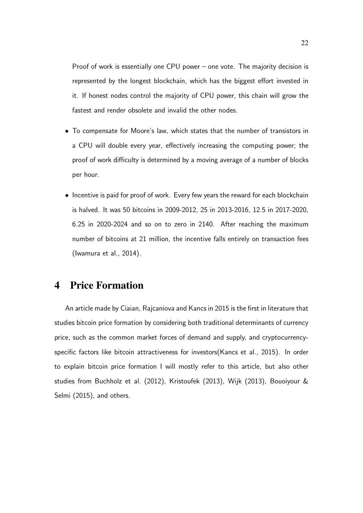Proof of work is essentially one CPU power – one vote. The majority decision is represented by the longest blockchain, which has the biggest effort invested in it. If honest nodes control the majority of CPU power, this chain will grow the fastest and render obsolete and invalid the other nodes.

- To compensate for Moore's law, which states that the number of transistors in a CPU will double every year, effectively increasing the computing power; the proof of work difficulty is determined by a moving average of a number of blocks per hour.
- Incentive is paid for proof of work. Every few years the reward for each blockchain is halved. It was 50 bitcoins in 2009-2012, 25 in 2013-2016, 12.5 in 2017-2020, 6.25 in 2020-2024 and so on to zero in 2140. After reaching the maximum number of bitcoins at 21 million, the incentive falls entirely on transaction fees (Iwamura et al., 2014).

# 4 Price Formation

An article made by Ciaian, Rajcaniova and Kancs in 2015 is the first in literature that studies bitcoin price formation by considering both traditional determinants of currency price, such as the common market forces of demand and supply, and cryptocurrencyspecific factors like bitcoin attractiveness for investors(Kancs et al., 2015). In order to explain bitcoin price formation I will mostly refer to this article, but also other studies from Buchholz et al. (2012), Kristoufek (2013), Wijk (2013), Bouoiyour & Selmi (2015), and others.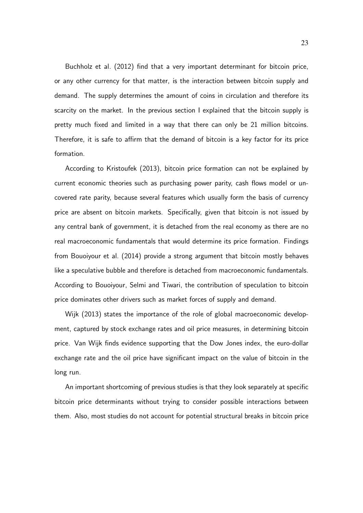Buchholz et al. (2012) find that a very important determinant for bitcoin price, or any other currency for that matter, is the interaction between bitcoin supply and demand. The supply determines the amount of coins in circulation and therefore its scarcity on the market. In the previous section I explained that the bitcoin supply is pretty much fixed and limited in a way that there can only be 21 million bitcoins. Therefore, it is safe to affirm that the demand of bitcoin is a key factor for its price formation.

According to Kristoufek (2013), bitcoin price formation can not be explained by current economic theories such as purchasing power parity, cash flows model or uncovered rate parity, because several features which usually form the basis of currency price are absent on bitcoin markets. Specifically, given that bitcoin is not issued by any central bank of government, it is detached from the real economy as there are no real macroeconomic fundamentals that would determine its price formation. Findings from Bouoiyour et al. (2014) provide a strong argument that bitcoin mostly behaves like a speculative bubble and therefore is detached from macroeconomic fundamentals. According to Bouoiyour, Selmi and Tiwari, the contribution of speculation to bitcoin price dominates other drivers such as market forces of supply and demand.

Wijk (2013) states the importance of the role of global macroeconomic development, captured by stock exchange rates and oil price measures, in determining bitcoin price. Van Wijk finds evidence supporting that the Dow Jones index, the euro-dollar exchange rate and the oil price have significant impact on the value of bitcoin in the long run.

An important shortcoming of previous studies is that they look separately at specific bitcoin price determinants without trying to consider possible interactions between them. Also, most studies do not account for potential structural breaks in bitcoin price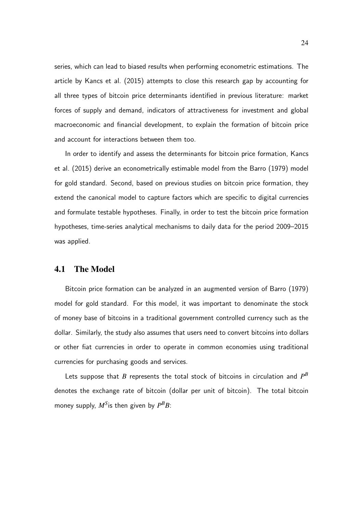series, which can lead to biased results when performing econometric estimations. The article by Kancs et al. (2015) attempts to close this research gap by accounting for all three types of bitcoin price determinants identified in previous literature: market forces of supply and demand, indicators of attractiveness for investment and global macroeconomic and financial development, to explain the formation of bitcoin price and account for interactions between them too.

In order to identify and assess the determinants for bitcoin price formation, Kancs et al. (2015) derive an econometrically estimable model from the Barro (1979) model for gold standard. Second, based on previous studies on bitcoin price formation, they extend the canonical model to capture factors which are specific to digital currencies and formulate testable hypotheses. Finally, in order to test the bitcoin price formation hypotheses, time-series analytical mechanisms to daily data for the period 2009–2015 was applied.

#### 4.1 The Model

Bitcoin price formation can be analyzed in an augmented version of Barro (1979) model for gold standard. For this model, it was important to denominate the stock of money base of bitcoins in a traditional government controlled currency such as the dollar. Similarly, the study also assumes that users need to convert bitcoins into dollars or other fiat currencies in order to operate in common economies using traditional currencies for purchasing goods and services.

Lets suppose that  $B$  represents the total stock of bitcoins in circulation and  $P^B$ denotes the exchange rate of bitcoin (dollar per unit of bitcoin). The total bitcoin money supply,  $M^{S}$  is then given by  $P^{B}B$ :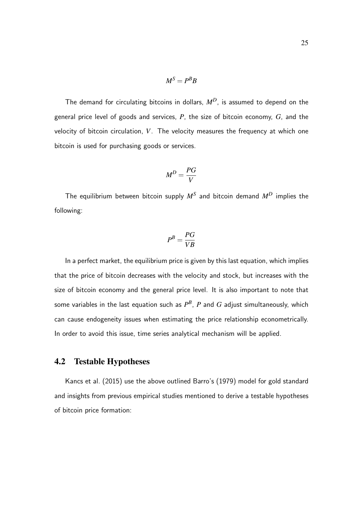$$
M^S = P^B B
$$

The demand for circulating bitcoins in dollars, *MD*, is assumed to depend on the general price level of goods and services, *P*, the size of bitcoin economy, *G*, and the velocity of bitcoin circulation, *V*. The velocity measures the frequency at which one bitcoin is used for purchasing goods or services.

$$
M^D = \frac{PG}{V}
$$

The equilibrium between bitcoin supply *M<sup>S</sup>* and bitcoin demand *M<sup>D</sup>* implies the following:

$$
P^B = \frac{PG}{VB}
$$

In a perfect market, the equilibrium price is given by this last equation, which implies that the price of bitcoin decreases with the velocity and stock, but increases with the size of bitcoin economy and the general price level. It is also important to note that some variables in the last equation such as  $P^B$ ,  $P$  and  $G$  adjust simultaneously, which can cause endogeneity issues when estimating the price relationship econometrically. In order to avoid this issue, time series analytical mechanism will be applied.

### 4.2 Testable Hypotheses

Kancs et al. (2015) use the above outlined Barro's (1979) model for gold standard and insights from previous empirical studies mentioned to derive a testable hypotheses of bitcoin price formation: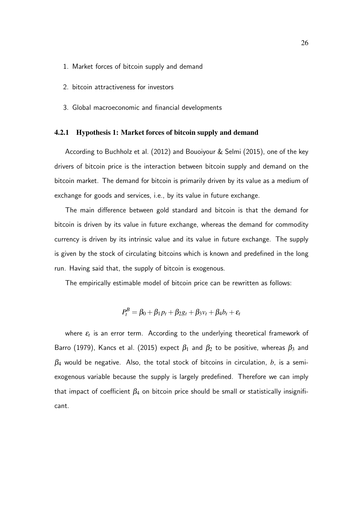- 1. Market forces of bitcoin supply and demand
- 2. bitcoin attractiveness for investors
- 3. Global macroeconomic and financial developments

#### 4.2.1 Hypothesis 1: Market forces of bitcoin supply and demand

According to Buchholz et al. (2012) and Bouoiyour & Selmi (2015), one of the key drivers of bitcoin price is the interaction between bitcoin supply and demand on the bitcoin market. The demand for bitcoin is primarily driven by its value as a medium of exchange for goods and services, i.e., by its value in future exchange.

The main difference between gold standard and bitcoin is that the demand for bitcoin is driven by its value in future exchange, whereas the demand for commodity currency is driven by its intrinsic value and its value in future exchange. The supply is given by the stock of circulating bitcoins which is known and predefined in the long run. Having said that, the supply of bitcoin is exogenous.

The empirically estimable model of bitcoin price can be rewritten as follows:

$$
P_t^B = \beta_0 + \beta_1 p_t + \beta_2 g_t + \beta_3 v_t + \beta_4 b_t + \varepsilon_t
$$

where  $\varepsilon_{\!t}$  is an error term. According to the underlying theoretical framework of Barro (1979), Kancs et al. (2015) expect  $\beta_1$  and  $\beta_2$  to be positive, whereas  $\beta_3$  and  $\beta_4$  would be negative. Also, the total stock of bitcoins in circulation,  $b$ , is a semiexogenous variable because the supply is largely predefined. Therefore we can imply that impact of coefficient  $\beta_4$  on bitcoin price should be small or statistically insignificant.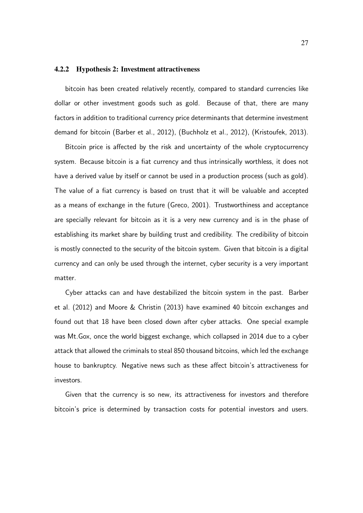#### 4.2.2 Hypothesis 2: Investment attractiveness

bitcoin has been created relatively recently, compared to standard currencies like dollar or other investment goods such as gold. Because of that, there are many factors in addition to traditional currency price determinants that determine investment demand for bitcoin (Barber et al., 2012), (Buchholz et al., 2012), (Kristoufek, 2013).

Bitcoin price is affected by the risk and uncertainty of the whole cryptocurrency system. Because bitcoin is a fiat currency and thus intrinsically worthless, it does not have a derived value by itself or cannot be used in a production process (such as gold). The value of a fiat currency is based on trust that it will be valuable and accepted as a means of exchange in the future (Greco, 2001). Trustworthiness and acceptance are specially relevant for bitcoin as it is a very new currency and is in the phase of establishing its market share by building trust and credibility. The credibility of bitcoin is mostly connected to the security of the bitcoin system. Given that bitcoin is a digital currency and can only be used through the internet, cyber security is a very important matter.

Cyber attacks can and have destabilized the bitcoin system in the past. Barber et al. (2012) and Moore & Christin (2013) have examined 40 bitcoin exchanges and found out that 18 have been closed down after cyber attacks. One special example was Mt.Gox, once the world biggest exchange, which collapsed in 2014 due to a cyber attack that allowed the criminals to steal 850 thousand bitcoins, which led the exchange house to bankruptcy. Negative news such as these affect bitcoin's attractiveness for investors.

Given that the currency is so new, its attractiveness for investors and therefore bitcoin's price is determined by transaction costs for potential investors and users.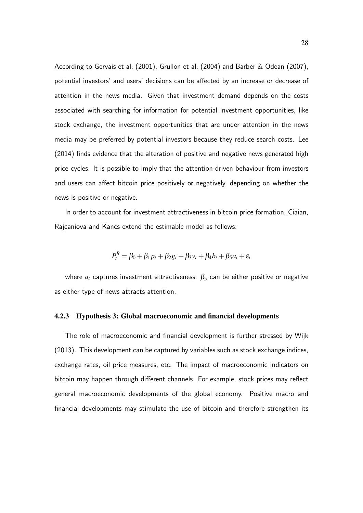According to Gervais et al. (2001), Grullon et al. (2004) and Barber & Odean (2007), potential investors' and users' decisions can be affected by an increase or decrease of attention in the news media. Given that investment demand depends on the costs associated with searching for information for potential investment opportunities, like stock exchange, the investment opportunities that are under attention in the news media may be preferred by potential investors because they reduce search costs. Lee (2014) finds evidence that the alteration of positive and negative news generated high price cycles. It is possible to imply that the attention-driven behaviour from investors and users can affect bitcoin price positively or negatively, depending on whether the news is positive or negative.

In order to account for investment attractiveness in bitcoin price formation, Ciaian, Rajcaniova and Kancs extend the estimable model as follows:

$$
P_t^B = \beta_0 + \beta_1 p_t + \beta_2 g_t + \beta_3 v_t + \beta_4 b_t + \beta_5 a_t + \varepsilon_t
$$

where  $a_t$  captures investment attractiveness.  $\beta_5$  can be either positive or negative as either type of news attracts attention.

#### 4.2.3 Hypothesis 3: Global macroeconomic and financial developments

The role of macroeconomic and financial development is further stressed by Wijk (2013). This development can be captured by variables such as stock exchange indices, exchange rates, oil price measures, etc. The impact of macroeconomic indicators on bitcoin may happen through different channels. For example, stock prices may reflect general macroeconomic developments of the global economy. Positive macro and financial developments may stimulate the use of bitcoin and therefore strengthen its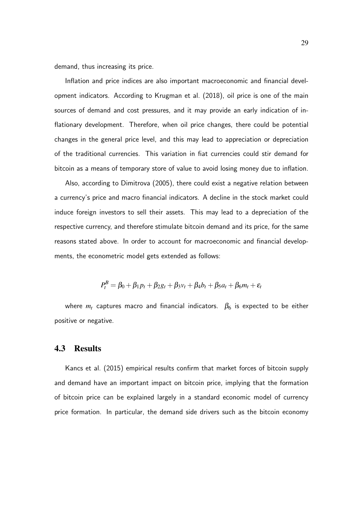demand, thus increasing its price.

Inflation and price indices are also important macroeconomic and financial development indicators. According to Krugman et al. (2018), oil price is one of the main sources of demand and cost pressures, and it may provide an early indication of inflationary development. Therefore, when oil price changes, there could be potential changes in the general price level, and this may lead to appreciation or depreciation of the traditional currencies. This variation in fiat currencies could stir demand for bitcoin as a means of temporary store of value to avoid losing money due to inflation.

Also, according to Dimitrova (2005), there could exist a negative relation between a currency's price and macro financial indicators. A decline in the stock market could induce foreign investors to sell their assets. This may lead to a depreciation of the respective currency, and therefore stimulate bitcoin demand and its price, for the same reasons stated above. In order to account for macroeconomic and financial developments, the econometric model gets extended as follows:

$$
P_t^B = \beta_0 + \beta_1 p_t + \beta_2 g_t + \beta_3 v_t + \beta_4 b_t + \beta_5 a_t + \beta_6 m_t + \varepsilon_t
$$

where  $m_t$  captures macro and financial indicators.  $\beta_6$  is expected to be either positive or negative.

#### 4.3 Results

Kancs et al. (2015) empirical results confirm that market forces of bitcoin supply and demand have an important impact on bitcoin price, implying that the formation of bitcoin price can be explained largely in a standard economic model of currency price formation. In particular, the demand side drivers such as the bitcoin economy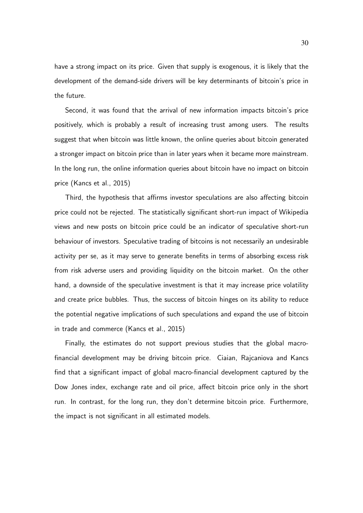have a strong impact on its price. Given that supply is exogenous, it is likely that the development of the demand-side drivers will be key determinants of bitcoin's price in the future.

Second, it was found that the arrival of new information impacts bitcoin's price positively, which is probably a result of increasing trust among users. The results suggest that when bitcoin was little known, the online queries about bitcoin generated a stronger impact on bitcoin price than in later years when it became more mainstream. In the long run, the online information queries about bitcoin have no impact on bitcoin price (Kancs et al., 2015)

Third, the hypothesis that affirms investor speculations are also affecting bitcoin price could not be rejected. The statistically significant short-run impact of Wikipedia views and new posts on bitcoin price could be an indicator of speculative short-run behaviour of investors. Speculative trading of bitcoins is not necessarily an undesirable activity per se, as it may serve to generate benefits in terms of absorbing excess risk from risk adverse users and providing liquidity on the bitcoin market. On the other hand, a downside of the speculative investment is that it may increase price volatility and create price bubbles. Thus, the success of bitcoin hinges on its ability to reduce the potential negative implications of such speculations and expand the use of bitcoin in trade and commerce (Kancs et al., 2015)

Finally, the estimates do not support previous studies that the global macrofinancial development may be driving bitcoin price. Ciaian, Rajcaniova and Kancs find that a significant impact of global macro-financial development captured by the Dow Jones index, exchange rate and oil price, affect bitcoin price only in the short run. In contrast, for the long run, they don't determine bitcoin price. Furthermore, the impact is not significant in all estimated models.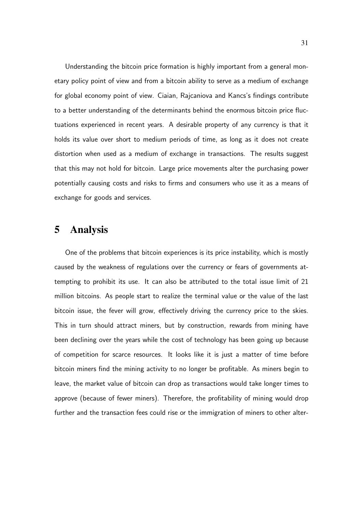Understanding the bitcoin price formation is highly important from a general monetary policy point of view and from a bitcoin ability to serve as a medium of exchange for global economy point of view. Ciaian, Rajcaniova and Kancs's findings contribute to a better understanding of the determinants behind the enormous bitcoin price fluctuations experienced in recent years. A desirable property of any currency is that it holds its value over short to medium periods of time, as long as it does not create distortion when used as a medium of exchange in transactions. The results suggest that this may not hold for bitcoin. Large price movements alter the purchasing power potentially causing costs and risks to firms and consumers who use it as a means of exchange for goods and services.

## 5 Analysis

One of the problems that bitcoin experiences is its price instability, which is mostly caused by the weakness of regulations over the currency or fears of governments attempting to prohibit its use. It can also be attributed to the total issue limit of 21 million bitcoins. As people start to realize the terminal value or the value of the last bitcoin issue, the fever will grow, effectively driving the currency price to the skies. This in turn should attract miners, but by construction, rewards from mining have been declining over the years while the cost of technology has been going up because of competition for scarce resources. It looks like it is just a matter of time before bitcoin miners find the mining activity to no longer be profitable. As miners begin to leave, the market value of bitcoin can drop as transactions would take longer times to approve (because of fewer miners). Therefore, the profitability of mining would drop further and the transaction fees could rise or the immigration of miners to other alter-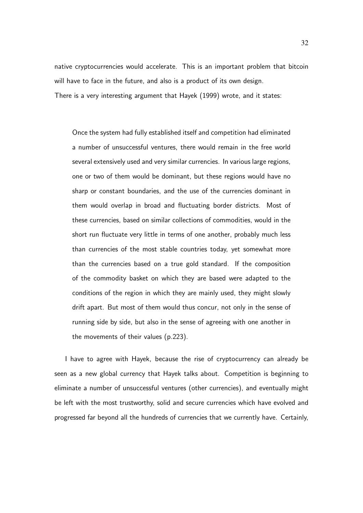native cryptocurrencies would accelerate. This is an important problem that bitcoin will have to face in the future, and also is a product of its own design. There is a very interesting argument that Hayek (1999) wrote, and it states:

Once the system had fully established itself and competition had eliminated a number of unsuccessful ventures, there would remain in the free world several extensively used and very similar currencies. In various large regions, one or two of them would be dominant, but these regions would have no sharp or constant boundaries, and the use of the currencies dominant in them would overlap in broad and fluctuating border districts. Most of these currencies, based on similar collections of commodities, would in the short run fluctuate very little in terms of one another, probably much less than currencies of the most stable countries today, yet somewhat more than the currencies based on a true gold standard. If the composition of the commodity basket on which they are based were adapted to the conditions of the region in which they are mainly used, they might slowly drift apart. But most of them would thus concur, not only in the sense of running side by side, but also in the sense of agreeing with one another in the movements of their values (p.223).

I have to agree with Hayek, because the rise of cryptocurrency can already be seen as a new global currency that Hayek talks about. Competition is beginning to eliminate a number of unsuccessful ventures (other currencies), and eventually might be left with the most trustworthy, solid and secure currencies which have evolved and progressed far beyond all the hundreds of currencies that we currently have. Certainly,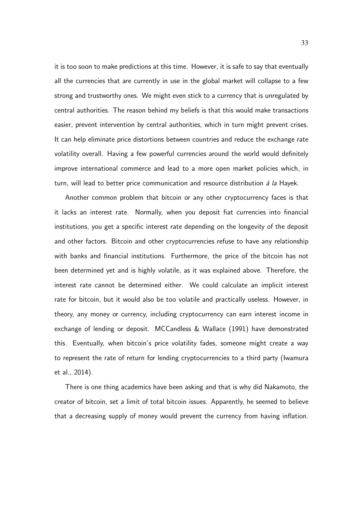it is too soon to make predictions at this time. However, it is safe to say that eventually all the currencies that are currently in use in the global market will collapse to a few strong and trustworthy ones. We might even stick to a currency that is unregulated by central authorities. The reason behind my beliefs is that this would make transactions easier, prevent intervention by central authorities, which in turn might prevent crises. It can help eliminate price distortions between countries and reduce the exchange rate volatility overall. Having a few powerful currencies around the world would definitely improve international commerce and lead to a more open market policies which, in turn, will lead to better price communication and resource distribution  $\acute{a}$  la Hayek.

Another common problem that bitcoin or any other cryptocurrency faces is that it lacks an interest rate. Normally, when you deposit fiat currencies into financial institutions, you get a specific interest rate depending on the longevity of the deposit and other factors. Bitcoin and other cryptocurrencies refuse to have any relationship with banks and financial institutions. Furthermore, the price of the bitcoin has not been determined yet and is highly volatile, as it was explained above. Therefore, the interest rate cannot be determined either. We could calculate an implicit interest rate for bitcoin, but it would also be too volatile and practically useless. However, in theory, any money or currency, including cryptocurrency can earn interest income in exchange of lending or deposit. MCCandless & Wallace (1991) have demonstrated this. Eventually, when bitcoin's price volatility fades, someone might create a way to represent the rate of return for lending cryptocurrencies to a third party (Iwamura et al., 2014).

There is one thing academics have been asking and that is why did Nakamoto, the creator of bitcoin, set a limit of total bitcoin issues. Apparently, he seemed to believe that a decreasing supply of money would prevent the currency from having inflation.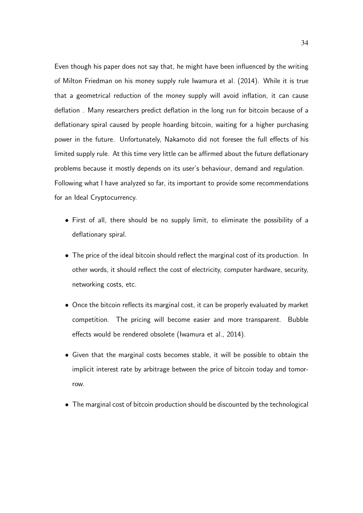Even though his paper does not say that, he might have been influenced by the writing of Milton Friedman on his money supply rule Iwamura et al. (2014). While it is true that a geometrical reduction of the money supply will avoid inflation, it can cause deflation . Many researchers predict deflation in the long run for bitcoin because of a deflationary spiral caused by people hoarding bitcoin, waiting for a higher purchasing power in the future. Unfortunately, Nakamoto did not foresee the full effects of his limited supply rule. At this time very little can be affirmed about the future deflationary problems because it mostly depends on its user's behaviour, demand and regulation. Following what I have analyzed so far, its important to provide some recommendations for an Ideal Cryptocurrency.

- First of all, there should be no supply limit, to eliminate the possibility of a deflationary spiral.
- The price of the ideal bitcoin should reflect the marginal cost of its production. In other words, it should reflect the cost of electricity, computer hardware, security, networking costs, etc.
- Once the bitcoin reflects its marginal cost, it can be properly evaluated by market competition. The pricing will become easier and more transparent. Bubble effects would be rendered obsolete (Iwamura et al., 2014).
- Given that the marginal costs becomes stable, it will be possible to obtain the implicit interest rate by arbitrage between the price of bitcoin today and tomorrow.
- The marginal cost of bitcoin production should be discounted by the technological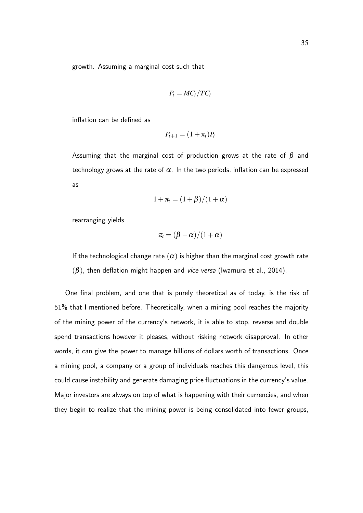growth. Assuming a marginal cost such that

$$
P_t = MC_t/TC_t
$$

inflation can be defined as

$$
P_{t+1}=(1+\pi_t)P_t
$$

Assuming that the marginal cost of production grows at the rate of  $\beta$  and technology grows at the rate of  $\alpha$ . In the two periods, inflation can be expressed as

$$
1+\pi_t=(1+\beta)/(1+\alpha)
$$

rearranging yields

$$
\pi_t = (\beta - \alpha)/(1 + \alpha)
$$

If the technological change rate  $(\alpha)$  is higher than the marginal cost growth rate  $(\beta)$ , then deflation might happen and vice versa (Iwamura et al., 2014).

One final problem, and one that is purely theoretical as of today, is the risk of 51% that I mentioned before. Theoretically, when a mining pool reaches the majority of the mining power of the currency's network, it is able to stop, reverse and double spend transactions however it pleases, without risking network disapproval. In other words, it can give the power to manage billions of dollars worth of transactions. Once a mining pool, a company or a group of individuals reaches this dangerous level, this could cause instability and generate damaging price fluctuations in the currency's value. Major investors are always on top of what is happening with their currencies, and when they begin to realize that the mining power is being consolidated into fewer groups,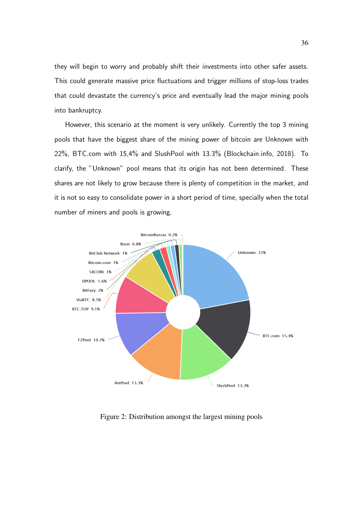they will begin to worry and probably shift their investments into other safer assets. This could generate massive price fluctuations and trigger millions of stop-loss trades that could devastate the currency's price and eventually lead the major mining pools into bankruptcy.

However, this scenario at the moment is very unlikely. Currently the top 3 mining pools that have the biggest share of the mining power of bitcoin are Unknown with 22%, BTC.com with 15,4% and SlushPool with 13.3% (Blockchain.info, 2018). To clarify, the "Unknown" pool means that its origin has not been determined. These shares are not likely to grow because there is plenty of competition in the market, and it is not so easy to consolidate power in a short period of time, specially when the total number of miners and pools is growing.



Figure 2: Distribution amongst the largest mining pools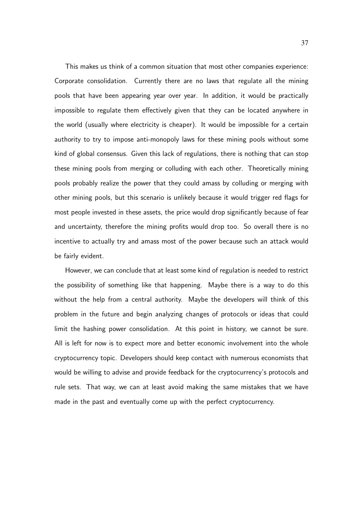This makes us think of a common situation that most other companies experience: Corporate consolidation. Currently there are no laws that regulate all the mining pools that have been appearing year over year. In addition, it would be practically impossible to regulate them effectively given that they can be located anywhere in the world (usually where electricity is cheaper). It would be impossible for a certain authority to try to impose anti-monopoly laws for these mining pools without some kind of global consensus. Given this lack of regulations, there is nothing that can stop these mining pools from merging or colluding with each other. Theoretically mining pools probably realize the power that they could amass by colluding or merging with other mining pools, but this scenario is unlikely because it would trigger red flags for most people invested in these assets, the price would drop significantly because of fear and uncertainty, therefore the mining profits would drop too. So overall there is no incentive to actually try and amass most of the power because such an attack would be fairly evident.

However, we can conclude that at least some kind of regulation is needed to restrict the possibility of something like that happening. Maybe there is a way to do this without the help from a central authority. Maybe the developers will think of this problem in the future and begin analyzing changes of protocols or ideas that could limit the hashing power consolidation. At this point in history, we cannot be sure. All is left for now is to expect more and better economic involvement into the whole cryptocurrency topic. Developers should keep contact with numerous economists that would be willing to advise and provide feedback for the cryptocurrency's protocols and rule sets. That way, we can at least avoid making the same mistakes that we have made in the past and eventually come up with the perfect cryptocurrency.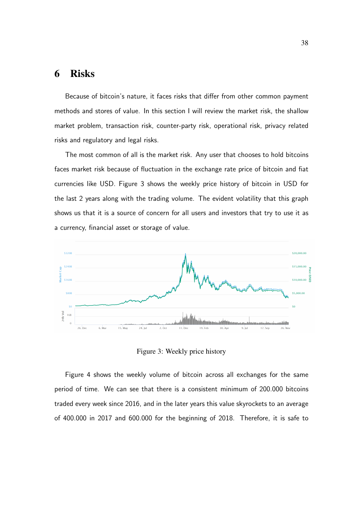# 6 Risks

Because of bitcoin's nature, it faces risks that differ from other common payment methods and stores of value. In this section I will review the market risk, the shallow market problem, transaction risk, counter-party risk, operational risk, privacy related risks and regulatory and legal risks.

The most common of all is the market risk. Any user that chooses to hold bitcoins faces market risk because of fluctuation in the exchange rate price of bitcoin and fiat currencies like USD. Figure 3 shows the weekly price history of bitcoin in USD for the last 2 years along with the trading volume. The evident volatility that this graph shows us that it is a source of concern for all users and investors that try to use it as a currency, financial asset or storage of value.



Figure 3: Weekly price history

Figure 4 shows the weekly volume of bitcoin across all exchanges for the same period of time. We can see that there is a consistent minimum of 200.000 bitcoins traded every week since 2016, and in the later years this value skyrockets to an average of 400.000 in 2017 and 600.000 for the beginning of 2018. Therefore, it is safe to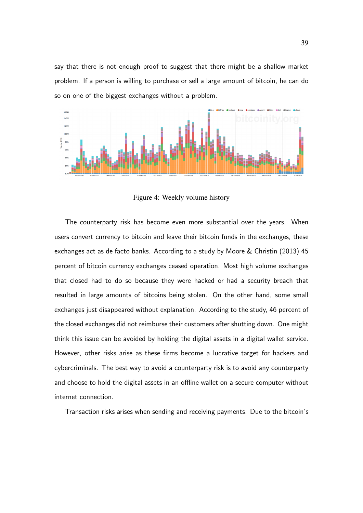say that there is not enough proof to suggest that there might be a shallow market problem. If a person is willing to purchase or sell a large amount of bitcoin, he can do so on one of the biggest exchanges without a problem.



Figure 4: Weekly volume history

The counterparty risk has become even more substantial over the years. When users convert currency to bitcoin and leave their bitcoin funds in the exchanges, these exchanges act as de facto banks. According to a study by Moore & Christin (2013) 45 percent of bitcoin currency exchanges ceased operation. Most high volume exchanges that closed had to do so because they were hacked or had a security breach that resulted in large amounts of bitcoins being stolen. On the other hand, some small exchanges just disappeared without explanation. According to the study, 46 percent of the closed exchanges did not reimburse their customers after shutting down. One might think this issue can be avoided by holding the digital assets in a digital wallet service. However, other risks arise as these firms become a lucrative target for hackers and cybercriminals. The best way to avoid a counterparty risk is to avoid any counterparty and choose to hold the digital assets in an offline wallet on a secure computer without internet connection.

Transaction risks arises when sending and receiving payments. Due to the bitcoin's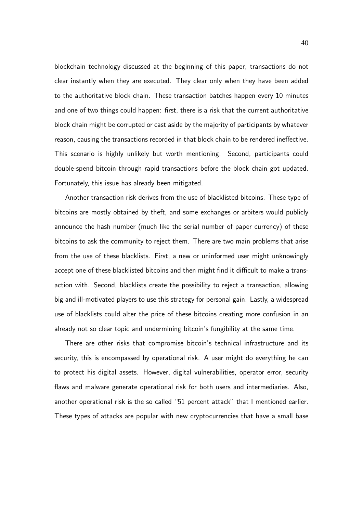blockchain technology discussed at the beginning of this paper, transactions do not clear instantly when they are executed. They clear only when they have been added to the authoritative block chain. These transaction batches happen every 10 minutes and one of two things could happen: first, there is a risk that the current authoritative block chain might be corrupted or cast aside by the majority of participants by whatever reason, causing the transactions recorded in that block chain to be rendered ineffective. This scenario is highly unlikely but worth mentioning. Second, participants could double-spend bitcoin through rapid transactions before the block chain got updated. Fortunately, this issue has already been mitigated.

Another transaction risk derives from the use of blacklisted bitcoins. These type of bitcoins are mostly obtained by theft, and some exchanges or arbiters would publicly announce the hash number (much like the serial number of paper currency) of these bitcoins to ask the community to reject them. There are two main problems that arise from the use of these blacklists. First, a new or uninformed user might unknowingly accept one of these blacklisted bitcoins and then might find it difficult to make a transaction with. Second, blacklists create the possibility to reject a transaction, allowing big and ill-motivated players to use this strategy for personal gain. Lastly, a widespread use of blacklists could alter the price of these bitcoins creating more confusion in an already not so clear topic and undermining bitcoin's fungibility at the same time.

There are other risks that compromise bitcoin's technical infrastructure and its security, this is encompassed by operational risk. A user might do everything he can to protect his digital assets. However, digital vulnerabilities, operator error, security flaws and malware generate operational risk for both users and intermediaries. Also, another operational risk is the so called "51 percent attack" that I mentioned earlier. These types of attacks are popular with new cryptocurrencies that have a small base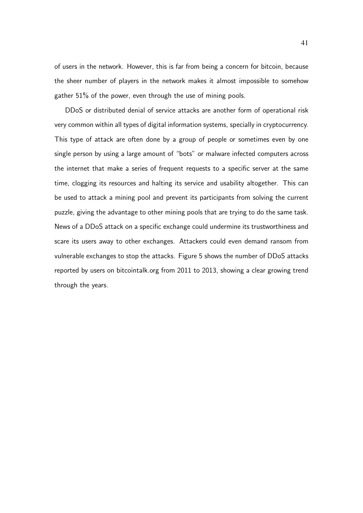of users in the network. However, this is far from being a concern for bitcoin, because the sheer number of players in the network makes it almost impossible to somehow gather 51% of the power, even through the use of mining pools.

DDoS or distributed denial of service attacks are another form of operational risk very common within all types of digital information systems, specially in cryptocurrency. This type of attack are often done by a group of people or sometimes even by one single person by using a large amount of "bots" or malware infected computers across the internet that make a series of frequent requests to a specific server at the same time, clogging its resources and halting its service and usability altogether. This can be used to attack a mining pool and prevent its participants from solving the current puzzle, giving the advantage to other mining pools that are trying to do the same task. News of a DDoS attack on a specific exchange could undermine its trustworthiness and scare its users away to other exchanges. Attackers could even demand ransom from vulnerable exchanges to stop the attacks. Figure 5 shows the number of DDoS attacks reported by users on bitcointalk.org from 2011 to 2013, showing a clear growing trend through the years.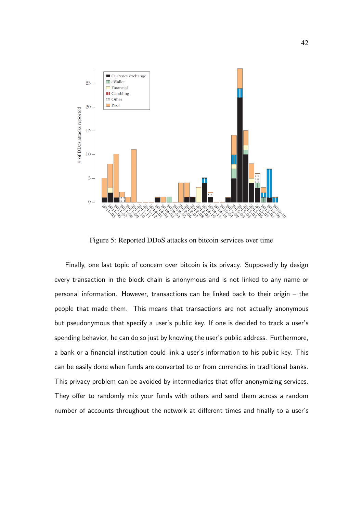

Figure 5: Reported DDoS attacks on bitcoin services over time

Finally, one last topic of concern over bitcoin is its privacy. Supposedly by design every transaction in the block chain is anonymous and is not linked to any name or personal information. However, transactions can be linked back to their origin – the people that made them. This means that transactions are not actually anonymous but pseudonymous that specify a user's public key. If one is decided to track a user's spending behavior, he can do so just by knowing the user's public address. Furthermore, a bank or a financial institution could link a user's information to his public key. This can be easily done when funds are converted to or from currencies in traditional banks. This privacy problem can be avoided by intermediaries that offer anonymizing services. They offer to randomly mix your funds with others and send them across a random number of accounts throughout the network at different times and finally to a user's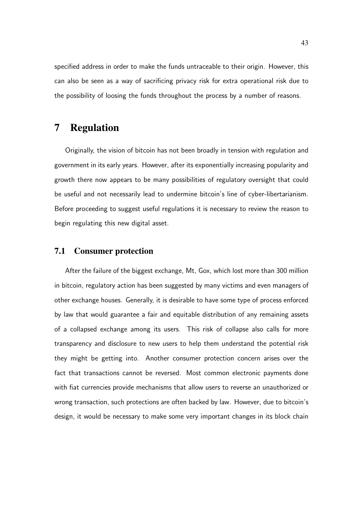specified address in order to make the funds untraceable to their origin. However, this can also be seen as a way of sacrificing privacy risk for extra operational risk due to the possibility of loosing the funds throughout the process by a number of reasons.

## 7 Regulation

Originally, the vision of bitcoin has not been broadly in tension with regulation and government in its early years. However, after its exponentially increasing popularity and growth there now appears to be many possibilities of regulatory oversight that could be useful and not necessarily lead to undermine bitcoin's line of cyber-libertarianism. Before proceeding to suggest useful regulations it is necessary to review the reason to begin regulating this new digital asset.

### 7.1 Consumer protection

After the failure of the biggest exchange, Mt, Gox, which lost more than 300 million in bitcoin, regulatory action has been suggested by many victims and even managers of other exchange houses. Generally, it is desirable to have some type of process enforced by law that would guarantee a fair and equitable distribution of any remaining assets of a collapsed exchange among its users. This risk of collapse also calls for more transparency and disclosure to new users to help them understand the potential risk they might be getting into. Another consumer protection concern arises over the fact that transactions cannot be reversed. Most common electronic payments done with fiat currencies provide mechanisms that allow users to reverse an unauthorized or wrong transaction, such protections are often backed by law. However, due to bitcoin's design, it would be necessary to make some very important changes in its block chain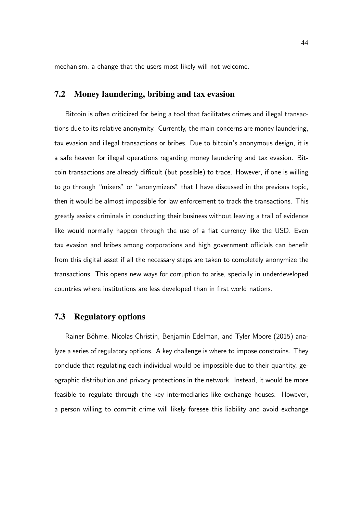mechanism, a change that the users most likely will not welcome.

### 7.2 Money laundering, bribing and tax evasion

Bitcoin is often criticized for being a tool that facilitates crimes and illegal transactions due to its relative anonymity. Currently, the main concerns are money laundering, tax evasion and illegal transactions or bribes. Due to bitcoin's anonymous design, it is a safe heaven for illegal operations regarding money laundering and tax evasion. Bitcoin transactions are already difficult (but possible) to trace. However, if one is willing to go through "mixers" or "anonymizers" that I have discussed in the previous topic, then it would be almost impossible for law enforcement to track the transactions. This greatly assists criminals in conducting their business without leaving a trail of evidence like would normally happen through the use of a fiat currency like the USD. Even tax evasion and bribes among corporations and high government officials can benefit from this digital asset if all the necessary steps are taken to completely anonymize the transactions. This opens new ways for corruption to arise, specially in underdeveloped countries where institutions are less developed than in first world nations.

### 7.3 Regulatory options

Rainer Böhme, Nicolas Christin, Benjamin Edelman, and Tyler Moore (2015) analyze a series of regulatory options. A key challenge is where to impose constrains. They conclude that regulating each individual would be impossible due to their quantity, geographic distribution and privacy protections in the network. Instead, it would be more feasible to regulate through the key intermediaries like exchange houses. However, a person willing to commit crime will likely foresee this liability and avoid exchange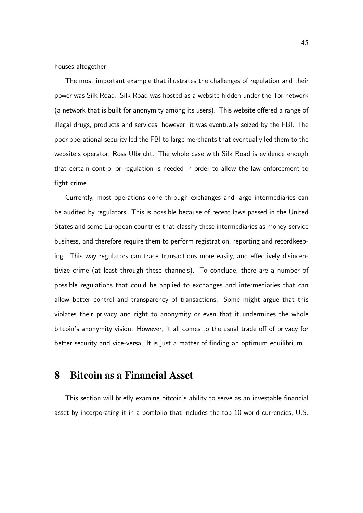houses altogether.

The most important example that illustrates the challenges of regulation and their power was Silk Road. Silk Road was hosted as a website hidden under the Tor network (a network that is built for anonymity among its users). This website offered a range of illegal drugs, products and services, however, it was eventually seized by the FBI. The poor operational security led the FBI to large merchants that eventually led them to the website's operator, Ross Ulbricht. The whole case with Silk Road is evidence enough that certain control or regulation is needed in order to allow the law enforcement to fight crime.

Currently, most operations done through exchanges and large intermediaries can be audited by regulators. This is possible because of recent laws passed in the United States and some European countries that classify these intermediaries as money-service business, and therefore require them to perform registration, reporting and recordkeeping. This way regulators can trace transactions more easily, and effectively disincentivize crime (at least through these channels). To conclude, there are a number of possible regulations that could be applied to exchanges and intermediaries that can allow better control and transparency of transactions. Some might argue that this violates their privacy and right to anonymity or even that it undermines the whole bitcoin's anonymity vision. However, it all comes to the usual trade off of privacy for better security and vice-versa. It is just a matter of finding an optimum equilibrium.

### 8 Bitcoin as a Financial Asset

This section will briefly examine bitcoin's ability to serve as an investable financial asset by incorporating it in a portfolio that includes the top 10 world currencies, U.S.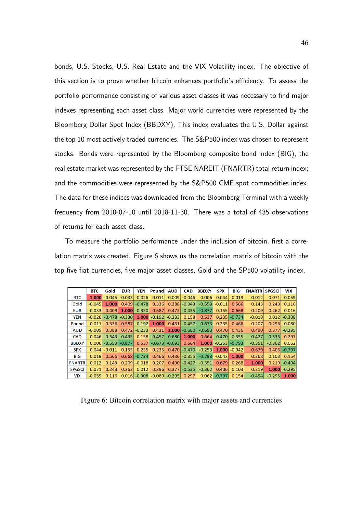bonds, U.S. Stocks, U.S. Real Estate and the VIX Volatility index. The objective of this section is to prove whether bitcoin enhances portfolio's efficiency. To assess the portfolio performance consisting of various asset classes it was necessary to find major indexes representing each asset class. Major world currencies were represented by the Bloomberg Dollar Spot Index (BBDXY). This index evaluates the U.S. Dollar against the top 10 most actively traded currencies. The S&P500 index was chosen to represent stocks. Bonds were represented by the Bloomberg composite bond index (BIG), the real estate market was represented by the FTSE NAREIT (FNARTR) total return index; and the commodities were represented by the S&P500 CME spot commodities index. The data for these indices was downloaded from the Bloomberg Terminal with a weekly frequency from 2010-07-10 until 2018-11-30. There was a total of 435 observations of returns for each asset class.

To measure the portfolio performance under the inclusion of bitcoin, first a correlation matrix was created. Figure 6 shows us the correlation matrix of bitcoin with the top five fiat currencies, five major asset classes, Gold and the SP500 volatility index.

|               | <b>BTC</b> | Gold     | <b>EUR</b> | <b>YEN</b> | Pound    | <b>AUD</b> | <b>CAD</b> | <b>BBDXY</b> | <b>SPX</b> | <b>BIG</b> | <b>FNARTR</b> | <b>SPGSCI</b> | <b>VIX</b> |
|---------------|------------|----------|------------|------------|----------|------------|------------|--------------|------------|------------|---------------|---------------|------------|
| <b>BTC</b>    | 1.000      | $-0.045$ | $-0.033$   | $-0.026$   | 0.011    | $-0.009$   | $-0.046$   | 0.006        | 0.044      | 0.019      | 0.012         | 0.071         | $-0.059$   |
| Gold          | $-0.045$   | 1.000    | 0.409      | $-0.478$   | 0.336    | 0.388      | $-0.343$   | $-0.553$     | $-0.011$   | 0.566      | 0.143         | 0.243         | 0.116      |
| <b>EUR</b>    | $-0.033$   | 0.409    | 1.000      | $-0.330$   | 0.587    | 0.472      | $-0.435$   | $-0.877$     | 0.155      | 0.668      | 0.209         | 0.262         | 0.016      |
| <b>YEN</b>    | $-0.026$   | $-0.478$ | $-0.330$   | 1.000      | $-0.192$ | $-0.233$   | 0.158      | 0.537        | 0.235      | $-0.734$   | $-0.018$      | 0.012         | $-0.308$   |
| Pound         | 0.011      | 0.336    | 0.587      | $-0.192$   | 1.000    | 0.431      | $-0.457$   | $-0.673$     | 0.235      | 0.466      | 0.207         | 0.296         | $-0.080$   |
| <b>AUD</b>    | $-0.009$   | 0.388    | 0.472      | $-0.233$   | 0.431    | 1.000      | $-0.680$   | $-0.693$     | 0.470      | 0.436      | 0.490         | 0.377         | $-0.295$   |
| <b>CAD</b>    | $-0.046$   | $-0.343$ | $-0.435$   | 0.158      | $-0.457$ | $-0.680$   | 1.000      | 0.664        | $-0.470$   | $-0.355$   | $-0.427$      | $-0.535$      | 0.297      |
| <b>BBDXY</b>  | 0.006      | $-0.553$ | $-0.877$   | 0.537      | $-0.673$ | $-0.693$   | 0.664      | 1.000        | $-0.253$   | $-0.793$   | $-0.351$      | $-0.362$      | 0.062      |
| <b>SPX</b>    | 0.044      | $-0.011$ | 0.155      | 0.235      | 0.235    | 0.470      | $-0.470$   | $-0.253$     | 1.000      | $-0.042$   | 0.679         | 0.406         | $-0.797$   |
| <b>BIG</b>    | 0.019      | 0.566    | 0.668      | $-0.734$   | 0.466    | 0.436      | $-0.355$   | $-0.793$     | $-0.042$   | 1.000      | 0.268         | 0.103         | 0.154      |
| <b>FNARTR</b> | 0.012      | 0.143    | 0.209      | $-0.018$   | 0.207    | 0.490      | $-0.427$   | $-0.351$     | 0.679      | 0.268      | 1.000         | 0.219         | $-0.494$   |
| <b>SPGSCI</b> | 0.071      | 0.243    | 0.262      | 0.012      | 0.296    | 0.377      | $-0.535$   | $-0.362$     | 0.406      | 0.103      | 0.219         | 1.000         | $-0.295$   |
| <b>VIX</b>    | $-0.059$   | 0.116    | 0.016      | $-0.308$   | $-0.080$ | $-0.295$   | 0.297      | 0.062        | $-0.797$   | 0.154      | $-0.494$      | $-0.295$      | 1.000      |

Figure 6: Bitcoin correlation matrix with major assets and currencies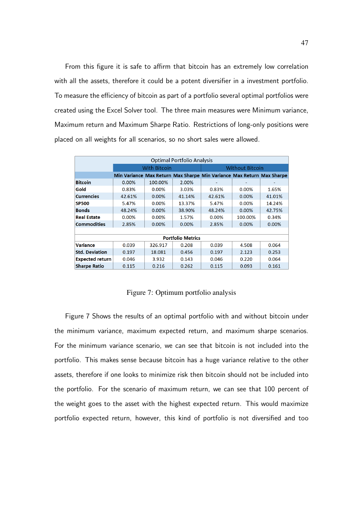From this figure it is safe to affirm that bitcoin has an extremely low correlation with all the assets, therefore it could be a potent diversifier in a investment portfolio. To measure the efficiency of bitcoin as part of a portfolio several optimal portfolios were created using the Excel Solver tool. The three main measures were Minimum variance, Maximum return and Maximum Sharpe Ratio. Restrictions of long-only positions were placed on all weights for all scenarios, so no short sales were allowed.

| <b>Optimal Portfolio Analysis</b> |          |                     |                          |                                                                       |         |        |  |  |  |  |
|-----------------------------------|----------|---------------------|--------------------------|-----------------------------------------------------------------------|---------|--------|--|--|--|--|
|                                   |          | <b>With Bitcoin</b> | <b>Without Bitcoin</b>   |                                                                       |         |        |  |  |  |  |
|                                   |          |                     |                          | Min Variance Max Return Max Sharpe Min Variance Max Return Max Sharpe |         |        |  |  |  |  |
| <b>Bitcoin</b>                    | $0.00\%$ | 100.00%             | 2.00%                    |                                                                       |         |        |  |  |  |  |
| Gold                              | 0.83%    | 0.00%               | 3.03%                    | 0.83%                                                                 | 0.00%   | 1.65%  |  |  |  |  |
| <b>Currencies</b>                 | 42.61%   | 0.00%               | 41.14%                   | 42.61%                                                                | 0.00%   | 41.01% |  |  |  |  |
| <b>SP500</b>                      | 5.47%    | 0.00%               | 13.37%                   | 5.47%                                                                 | 0.00%   | 14.24% |  |  |  |  |
| <b>Bonds</b>                      | 48.24%   | 0.00%               | 38.90%                   | 48.24%                                                                | 0.00%   | 42.75% |  |  |  |  |
| <b>Real Estate</b>                | $0.00\%$ | 0.00%               | 1.57%                    | 0.00%                                                                 | 100.00% | 0.34%  |  |  |  |  |
| <b>Commodities</b>                | 2.85%    | 0.00%               | 0.00%                    | 2.85%                                                                 | 0.00%   | 0.00%  |  |  |  |  |
|                                   |          |                     |                          |                                                                       |         |        |  |  |  |  |
|                                   |          |                     | <b>Portfolio Metrics</b> |                                                                       |         |        |  |  |  |  |
| <b>Variance</b>                   | 0.039    | 326.917             | 0.208                    | 0.039                                                                 | 4.508   | 0.064  |  |  |  |  |
| <b>Std. Deviation</b>             | 0.197    | 18.081              | 0.456                    | 0.197                                                                 | 2.123   | 0.253  |  |  |  |  |
| <b>Expected return</b>            | 0.046    | 3.932               | 0.143                    | 0.046                                                                 | 0.220   | 0.064  |  |  |  |  |
| <b>Sharpe Ratio</b>               | 0.115    | 0.216               | 0.262                    | 0.115                                                                 | 0.093   | 0.161  |  |  |  |  |

Figure 7: Optimum portfolio analysis

Figure 7 Shows the results of an optimal portfolio with and without bitcoin under the minimum variance, maximum expected return, and maximum sharpe scenarios. For the minimum variance scenario, we can see that bitcoin is not included into the portfolio. This makes sense because bitcoin has a huge variance relative to the other assets, therefore if one looks to minimize risk then bitcoin should not be included into the portfolio. For the scenario of maximum return, we can see that 100 percent of the weight goes to the asset with the highest expected return. This would maximize portfolio expected return, however, this kind of portfolio is not diversified and too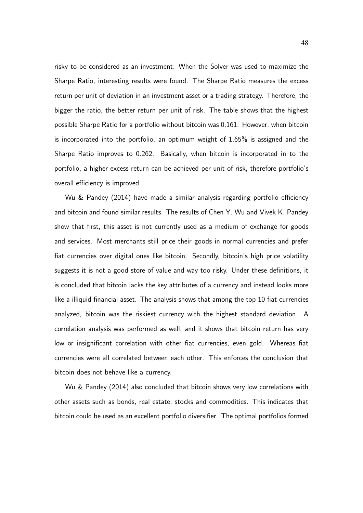risky to be considered as an investment. When the Solver was used to maximize the Sharpe Ratio, interesting results were found. The Sharpe Ratio measures the excess return per unit of deviation in an investment asset or a trading strategy. Therefore, the bigger the ratio, the better return per unit of risk. The table shows that the highest possible Sharpe Ratio for a portfolio without bitcoin was 0.161. However, when bitcoin is incorporated into the portfolio, an optimum weight of 1.65% is assigned and the Sharpe Ratio improves to 0.262. Basically, when bitcoin is incorporated in to the portfolio, a higher excess return can be achieved per unit of risk, therefore portfolio's overall efficiency is improved.

Wu & Pandey (2014) have made a similar analysis regarding portfolio efficiency and bitcoin and found similar results. The results of Chen Y. Wu and Vivek K. Pandey show that first, this asset is not currently used as a medium of exchange for goods and services. Most merchants still price their goods in normal currencies and prefer fiat currencies over digital ones like bitcoin. Secondly, bitcoin's high price volatility suggests it is not a good store of value and way too risky. Under these definitions, it is concluded that bitcoin lacks the key attributes of a currency and instead looks more like a illiquid financial asset. The analysis shows that among the top 10 fiat currencies analyzed, bitcoin was the riskiest currency with the highest standard deviation. A correlation analysis was performed as well, and it shows that bitcoin return has very low or insignificant correlation with other fiat currencies, even gold. Whereas fiat currencies were all correlated between each other. This enforces the conclusion that bitcoin does not behave like a currency.

Wu & Pandey (2014) also concluded that bitcoin shows very low correlations with other assets such as bonds, real estate, stocks and commodities. This indicates that bitcoin could be used as an excellent portfolio diversifier. The optimal portfolios formed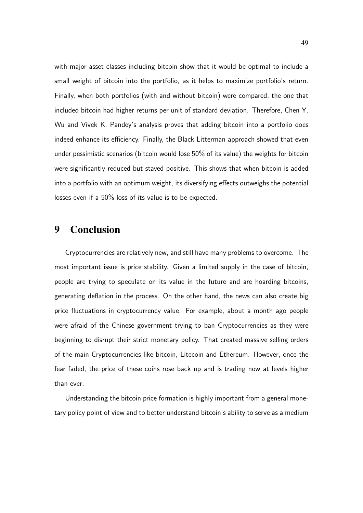with major asset classes including bitcoin show that it would be optimal to include a small weight of bitcoin into the portfolio, as it helps to maximize portfolio's return. Finally, when both portfolios (with and without bitcoin) were compared, the one that included bitcoin had higher returns per unit of standard deviation. Therefore, Chen Y. Wu and Vivek K. Pandey's analysis proves that adding bitcoin into a portfolio does indeed enhance its efficiency. Finally, the Black Litterman approach showed that even under pessimistic scenarios (bitcoin would lose 50% of its value) the weights for bitcoin were significantly reduced but stayed positive. This shows that when bitcoin is added into a portfolio with an optimum weight, its diversifying effects outweighs the potential losses even if a 50% loss of its value is to be expected.

## 9 Conclusion

Cryptocurrencies are relatively new, and still have many problems to overcome. The most important issue is price stability. Given a limited supply in the case of bitcoin, people are trying to speculate on its value in the future and are hoarding bitcoins, generating deflation in the process. On the other hand, the news can also create big price fluctuations in cryptocurrency value. For example, about a month ago people were afraid of the Chinese government trying to ban Cryptocurrencies as they were beginning to disrupt their strict monetary policy. That created massive selling orders of the main Cryptocurrencies like bitcoin, Litecoin and Ethereum. However, once the fear faded, the price of these coins rose back up and is trading now at levels higher than ever.

Understanding the bitcoin price formation is highly important from a general monetary policy point of view and to better understand bitcoin's ability to serve as a medium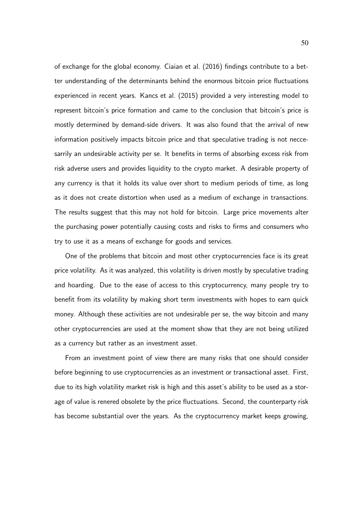of exchange for the global economy. Ciaian et al. (2016) findings contribute to a better understanding of the determinants behind the enormous bitcoin price fluctuations experienced in recent years. Kancs et al. (2015) provided a very interesting model to represent bitcoin's price formation and came to the conclusion that bitcoin's price is mostly determined by demand-side drivers. It was also found that the arrival of new information positively impacts bitcoin price and that speculative trading is not neccesarrily an undesirable activity per se. It benefits in terms of absorbing excess risk from risk adverse users and provides liquidity to the crypto market. A desirable property of any currency is that it holds its value over short to medium periods of time, as long as it does not create distortion when used as a medium of exchange in transactions. The results suggest that this may not hold for bitcoin. Large price movements alter the purchasing power potentially causing costs and risks to firms and consumers who try to use it as a means of exchange for goods and services.

One of the problems that bitcoin and most other cryptocurrencies face is its great price volatility. As it was analyzed, this volatility is driven mostly by speculative trading and hoarding. Due to the ease of access to this cryptocurrency, many people try to benefit from its volatility by making short term investments with hopes to earn quick money. Although these activities are not undesirable per se, the way bitcoin and many other cryptocurrencies are used at the moment show that they are not being utilized as a currency but rather as an investment asset.

From an investment point of view there are many risks that one should consider before beginning to use cryptocurrencies as an investment or transactional asset. First, due to its high volatility market risk is high and this asset's ability to be used as a storage of value is renered obsolete by the price fluctuations. Second, the counterparty risk has become substantial over the years. As the cryptocurrency market keeps growing,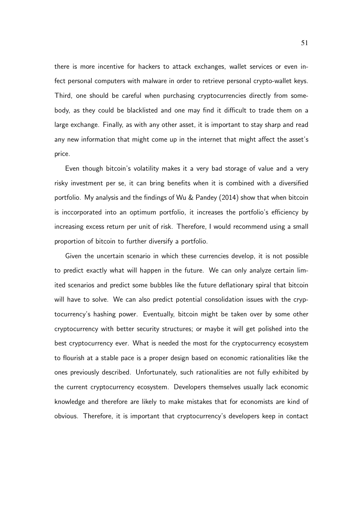there is more incentive for hackers to attack exchanges, wallet services or even infect personal computers with malware in order to retrieve personal crypto-wallet keys. Third, one should be careful when purchasing cryptocurrencies directly from somebody, as they could be blacklisted and one may find it difficult to trade them on a large exchange. Finally, as with any other asset, it is important to stay sharp and read any new information that might come up in the internet that might affect the asset's price.

Even though bitcoin's volatility makes it a very bad storage of value and a very risky investment per se, it can bring benefits when it is combined with a diversified portfolio. My analysis and the findings of Wu & Pandey (2014) show that when bitcoin is inccorporated into an optimum portfolio, it increases the portfolio's efficiency by increasing excess return per unit of risk. Therefore, I would recommend using a small proportion of bitcoin to further diversify a portfolio.

Given the uncertain scenario in which these currencies develop, it is not possible to predict exactly what will happen in the future. We can only analyze certain limited scenarios and predict some bubbles like the future deflationary spiral that bitcoin will have to solve. We can also predict potential consolidation issues with the cryptocurrency's hashing power. Eventually, bitcoin might be taken over by some other cryptocurrency with better security structures; or maybe it will get polished into the best cryptocurrency ever. What is needed the most for the cryptocurrency ecosystem to flourish at a stable pace is a proper design based on economic rationalities like the ones previously described. Unfortunately, such rationalities are not fully exhibited by the current cryptocurrency ecosystem. Developers themselves usually lack economic knowledge and therefore are likely to make mistakes that for economists are kind of obvious. Therefore, it is important that cryptocurrency's developers keep in contact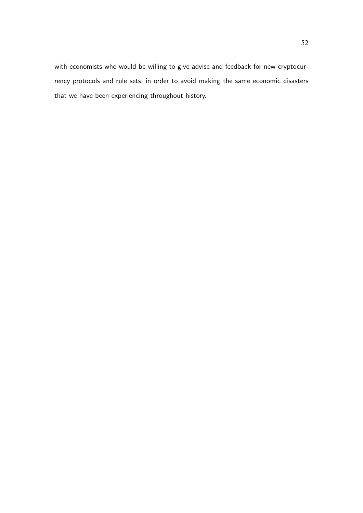with economists who would be willing to give advise and feedback for new cryptocurrency protocols and rule sets, in order to avoid making the same economic disasters that we have been experiencing throughout history.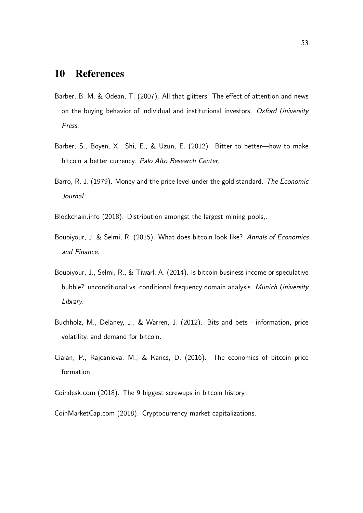# 10 References

- Barber, B. M. & Odean, T. (2007). All that glitters: The effect of attention and news on the buying behavior of individual and institutional investors. Oxford University Press.
- Barber, S., Boyen, X., Shi, E., & Uzun, E. (2012). Bitter to better—how to make bitcoin a better currency. Palo Alto Research Center.
- Barro, R. J. (1979). Money and the price level under the gold standard. The Economic Journal.
- Blockchain.info (2018). Distribution amongst the largest mining pools,.
- Bouoiyour, J. & Selmi, R. (2015). What does bitcoin look like? Annals of Economics and Finance.
- Bouoiyour, J., Selmi, R., & Tiwarl, A. (2014). Is bitcoin business income or speculative bubble? unconditional vs. conditional frequency domain analysis. Munich University Library.
- Buchholz, M., Delaney, J., & Warren, J. (2012). Bits and bets information, price volatility, and demand for bitcoin.
- Ciaian, P., Rajcaniova, M., & Kancs, D. (2016). The economics of bitcoin price formation.
- Coindesk.com (2018). The 9 biggest screwups in bitcoin history,.
- CoinMarketCap.com (2018). Cryptocurrency market capitalizations.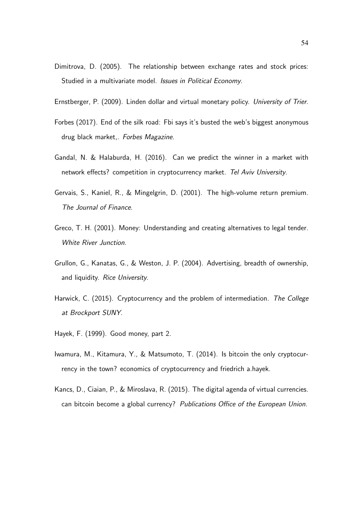- Dimitrova, D. (2005). The relationship between exchange rates and stock prices: Studied in a multivariate model. *Issues in Political Economy*.
- Ernstberger, P. (2009). Linden dollar and virtual monetary policy. University of Trier.
- Forbes (2017). End of the silk road: Fbi says it's busted the web's biggest anonymous drug black market,. Forbes Magazine.
- Gandal, N. & Halaburda, H. (2016). Can we predict the winner in a market with network effects? competition in cryptocurrency market. Tel Aviv University.
- Gervais, S., Kaniel, R., & Mingelgrin, D. (2001). The high-volume return premium. The Journal of Finance.
- Greco, T. H. (2001). Money: Understanding and creating alternatives to legal tender. White River Junction.
- Grullon, G., Kanatas, G., & Weston, J. P. (2004). Advertising, breadth of ownership, and liquidity. Rice University.
- Harwick, C. (2015). Cryptocurrency and the problem of intermediation. The College at Brockport SUNY.
- Hayek, F. (1999). Good money, part 2.
- Iwamura, M., Kitamura, Y., & Matsumoto, T. (2014). Is bitcoin the only cryptocurrency in the town? economics of cryptocurrency and friedrich a.hayek.
- Kancs, D., Ciaian, P., & Miroslava, R. (2015). The digital agenda of virtual currencies. can bitcoin become a global currency? Publications Office of the European Union.